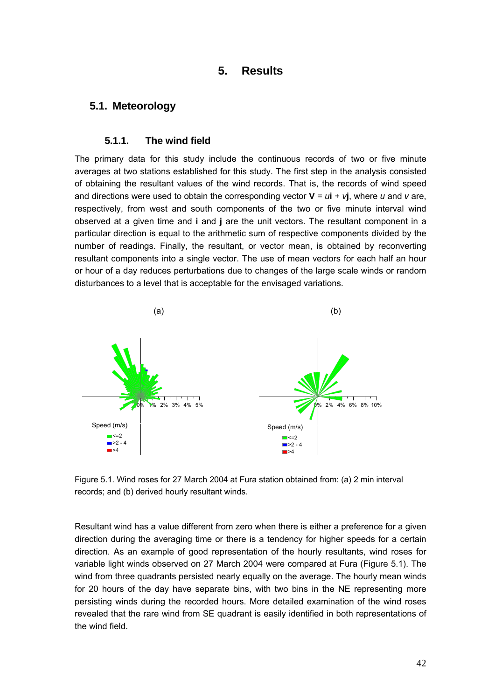# **5. Results**

## **5.1. Meteorology**

### **5.1.1. The wind field**

The primary data for this study include the continuous records of two or five minute averages at two stations established for this study. The first step in the analysis consisted of obtaining the resultant values of the wind records. That is, the records of wind speed and directions were used to obtain the corresponding vector  $V = u\hat{i} + v\hat{j}$ , where *u* and *v* are, respectively, from west and south components of the two or five minute interval wind observed at a given time and **i** and **j** are the unit vectors. The resultant component in a particular direction is equal to the arithmetic sum of respective components divided by the number of readings. Finally, the resultant, or vector mean, is obtained by reconverting resultant components into a single vector. The use of mean vectors for each half an hour or hour of a day reduces perturbations due to changes of the large scale winds or random disturbances to a level that is acceptable for the envisaged variations.



Figure 5.1. Wind roses for 27 March 2004 at Fura station obtained from: (a) 2 min interval records; and (b) derived hourly resultant winds.

Resultant wind has a value different from zero when there is either a preference for a given direction during the averaging time or there is a tendency for higher speeds for a certain direction. As an example of good representation of the hourly resultants, wind roses for variable light winds observed on 27 March 2004 were compared at Fura (Figure 5.1). The wind from three quadrants persisted nearly equally on the average. The hourly mean winds for 20 hours of the day have separate bins, with two bins in the NE representing more persisting winds during the recorded hours. More detailed examination of the wind roses revealed that the rare wind from SE quadrant is easily identified in both representations of the wind field.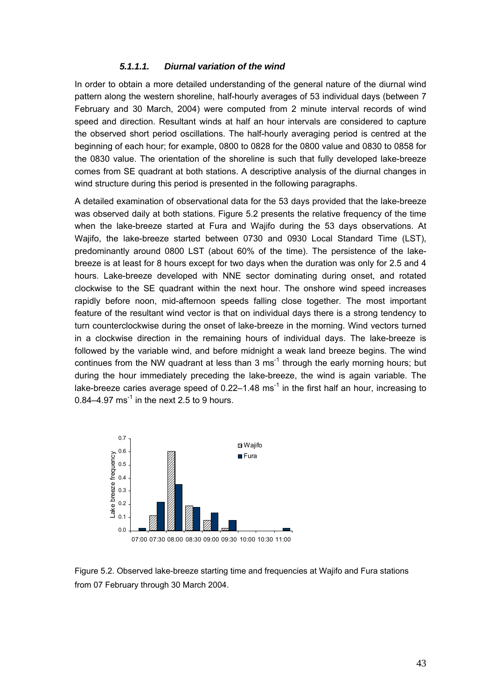#### *5.1.1.1. Diurnal variation of the wind*

In order to obtain a more detailed understanding of the general nature of the diurnal wind pattern along the western shoreline, half-hourly averages of 53 individual days (between 7 February and 30 March, 2004) were computed from 2 minute interval records of wind speed and direction. Resultant winds at half an hour intervals are considered to capture the observed short period oscillations. The half-hourly averaging period is centred at the beginning of each hour; for example, 0800 to 0828 for the 0800 value and 0830 to 0858 for the 0830 value. The orientation of the shoreline is such that fully developed lake-breeze comes from SE quadrant at both stations. A descriptive analysis of the diurnal changes in wind structure during this period is presented in the following paragraphs.

A detailed examination of observational data for the 53 days provided that the lake-breeze was observed daily at both stations. Figure 5.2 presents the relative frequency of the time when the lake-breeze started at Fura and Wajifo during the 53 days observations. At Wajifo, the lake-breeze started between 0730 and 0930 Local Standard Time (LST), predominantly around 0800 LST (about 60% of the time). The persistence of the lakebreeze is at least for 8 hours except for two days when the duration was only for 2.5 and 4 hours. Lake-breeze developed with NNE sector dominating during onset, and rotated clockwise to the SE quadrant within the next hour. The onshore wind speed increases rapidly before noon, mid-afternoon speeds falling close together. The most important feature of the resultant wind vector is that on individual days there is a strong tendency to turn counterclockwise during the onset of lake-breeze in the morning. Wind vectors turned in a clockwise direction in the remaining hours of individual days. The lake-breeze is followed by the variable wind, and before midnight a weak land breeze begins. The wind continues from the NW quadrant at less than 3 ms<sup>-1</sup> through the early morning hours; but during the hour immediately preceding the lake-breeze, the wind is again variable. The lake-breeze caries average speed of  $0.22-1.48$  ms<sup>-1</sup> in the first half an hour, increasing to 0.84–4.97 ms<sup>-1</sup> in the next 2.5 to 9 hours.



Figure 5.2. Observed lake-breeze starting time and frequencies at Wajifo and Fura stations from 07 February through 30 March 2004.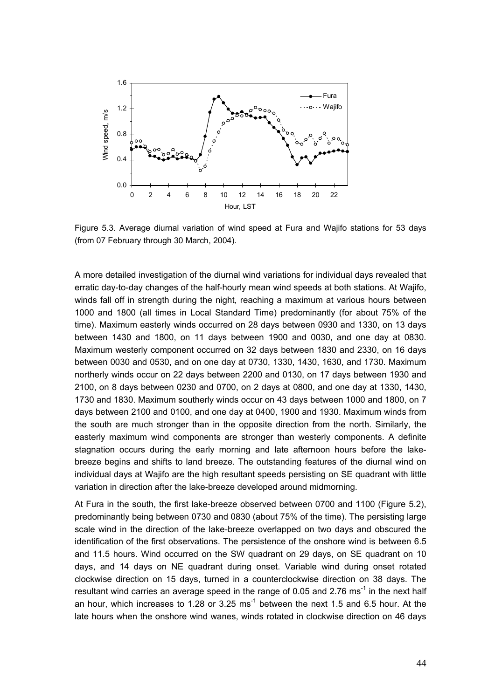

Figure 5.3. Average diurnal variation of wind speed at Fura and Wajifo stations for 53 days (from 07 February through 30 March, 2004).

A more detailed investigation of the diurnal wind variations for individual days revealed that erratic day-to-day changes of the half-hourly mean wind speeds at both stations. At Wajifo, winds fall off in strength during the night, reaching a maximum at various hours between 1000 and 1800 (all times in Local Standard Time) predominantly (for about 75% of the time). Maximum easterly winds occurred on 28 days between 0930 and 1330, on 13 days between 1430 and 1800, on 11 days between 1900 and 0030, and one day at 0830. Maximum westerly component occurred on 32 days between 1830 and 2330, on 16 days between 0030 and 0530, and on one day at 0730, 1330, 1430, 1630, and 1730. Maximum northerly winds occur on 22 days between 2200 and 0130, on 17 days between 1930 and 2100, on 8 days between 0230 and 0700, on 2 days at 0800, and one day at 1330, 1430, 1730 and 1830. Maximum southerly winds occur on 43 days between 1000 and 1800, on 7 days between 2100 and 0100, and one day at 0400, 1900 and 1930. Maximum winds from the south are much stronger than in the opposite direction from the north. Similarly, the easterly maximum wind components are stronger than westerly components. A definite stagnation occurs during the early morning and late afternoon hours before the lakebreeze begins and shifts to land breeze. The outstanding features of the diurnal wind on individual days at Wajifo are the high resultant speeds persisting on SE quadrant with little variation in direction after the lake-breeze developed around midmorning.

At Fura in the south, the first lake-breeze observed between 0700 and 1100 (Figure 5.2), predominantly being between 0730 and 0830 (about 75% of the time). The persisting large scale wind in the direction of the lake-breeze overlapped on two days and obscured the identification of the first observations. The persistence of the onshore wind is between 6.5 and 11.5 hours. Wind occurred on the SW quadrant on 29 days, on SE quadrant on 10 days, and 14 days on NE quadrant during onset. Variable wind during onset rotated clockwise direction on 15 days, turned in a counterclockwise direction on 38 days. The resultant wind carries an average speed in the range of 0.05 and 2.76 ms<sup>-1</sup> in the next half an hour, which increases to 1.28 or 3.25  $ms^{-1}$  between the next 1.5 and 6.5 hour. At the late hours when the onshore wind wanes, winds rotated in clockwise direction on 46 days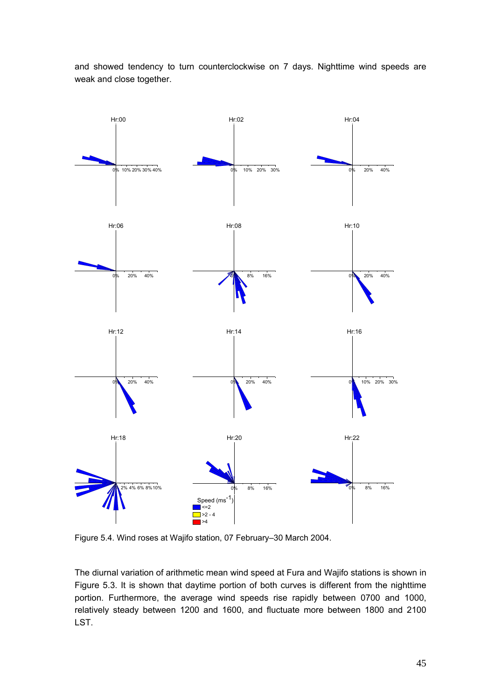and showed tendency to turn counterclockwise on 7 days. Nighttime wind speeds are weak and close together.



Figure 5.4. Wind roses at Wajifo station, 07 February–30 March 2004.

The diurnal variation of arithmetic mean wind speed at Fura and Wajifo stations is shown in Figure 5.3. It is shown that daytime portion of both curves is different from the nighttime portion. Furthermore, the average wind speeds rise rapidly between 0700 and 1000, relatively steady between 1200 and 1600, and fluctuate more between 1800 and 2100 LST.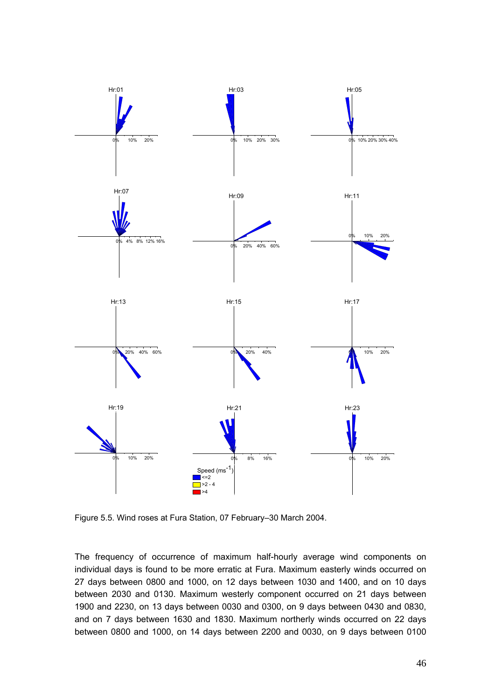

Figure 5.5. Wind roses at Fura Station, 07 February–30 March 2004.

The frequency of occurrence of maximum half-hourly average wind components on individual days is found to be more erratic at Fura. Maximum easterly winds occurred on 27 days between 0800 and 1000, on 12 days between 1030 and 1400, and on 10 days between 2030 and 0130. Maximum westerly component occurred on 21 days between 1900 and 2230, on 13 days between 0030 and 0300, on 9 days between 0430 and 0830, and on 7 days between 1630 and 1830. Maximum northerly winds occurred on 22 days between 0800 and 1000, on 14 days between 2200 and 0030, on 9 days between 0100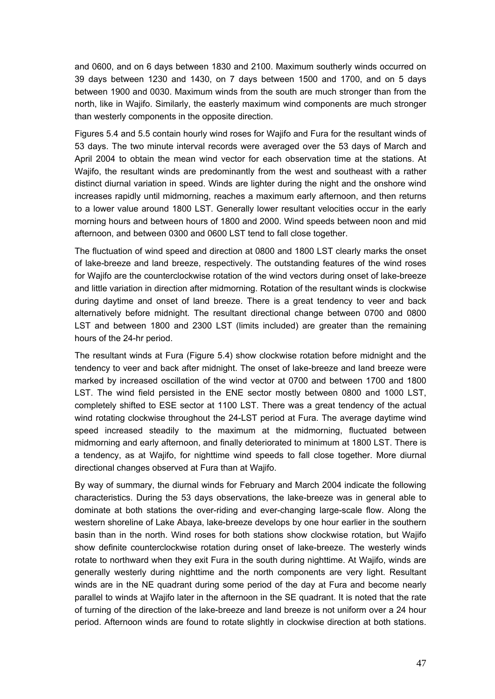and 0600, and on 6 days between 1830 and 2100. Maximum southerly winds occurred on 39 days between 1230 and 1430, on 7 days between 1500 and 1700, and on 5 days between 1900 and 0030. Maximum winds from the south are much stronger than from the north, like in Wajifo. Similarly, the easterly maximum wind components are much stronger than westerly components in the opposite direction.

Figures 5.4 and 5.5 contain hourly wind roses for Wajifo and Fura for the resultant winds of 53 days. The two minute interval records were averaged over the 53 days of March and April 2004 to obtain the mean wind vector for each observation time at the stations. At Wajifo, the resultant winds are predominantly from the west and southeast with a rather distinct diurnal variation in speed. Winds are lighter during the night and the onshore wind increases rapidly until midmorning, reaches a maximum early afternoon, and then returns to a lower value around 1800 LST. Generally lower resultant velocities occur in the early morning hours and between hours of 1800 and 2000. Wind speeds between noon and mid afternoon, and between 0300 and 0600 LST tend to fall close together.

The fluctuation of wind speed and direction at 0800 and 1800 LST clearly marks the onset of lake-breeze and land breeze, respectively. The outstanding features of the wind roses for Wajifo are the counterclockwise rotation of the wind vectors during onset of lake-breeze and little variation in direction after midmorning. Rotation of the resultant winds is clockwise during daytime and onset of land breeze. There is a great tendency to veer and back alternatively before midnight. The resultant directional change between 0700 and 0800 LST and between 1800 and 2300 LST (limits included) are greater than the remaining hours of the 24-hr period.

The resultant winds at Fura (Figure 5.4) show clockwise rotation before midnight and the tendency to veer and back after midnight. The onset of lake-breeze and land breeze were marked by increased oscillation of the wind vector at 0700 and between 1700 and 1800 LST. The wind field persisted in the ENE sector mostly between 0800 and 1000 LST, completely shifted to ESE sector at 1100 LST. There was a great tendency of the actual wind rotating clockwise throughout the 24-LST period at Fura. The average daytime wind speed increased steadily to the maximum at the midmorning, fluctuated between midmorning and early afternoon, and finally deteriorated to minimum at 1800 LST. There is a tendency, as at Wajifo, for nighttime wind speeds to fall close together. More diurnal directional changes observed at Fura than at Wajifo.

By way of summary, the diurnal winds for February and March 2004 indicate the following characteristics. During the 53 days observations, the lake-breeze was in general able to dominate at both stations the over-riding and ever-changing large-scale flow. Along the western shoreline of Lake Abaya, lake-breeze develops by one hour earlier in the southern basin than in the north. Wind roses for both stations show clockwise rotation, but Wajifo show definite counterclockwise rotation during onset of lake-breeze. The westerly winds rotate to northward when they exit Fura in the south during nighttime. At Wajifo, winds are generally westerly during nighttime and the north components are very light. Resultant winds are in the NE quadrant during some period of the day at Fura and become nearly parallel to winds at Wajifo later in the afternoon in the SE quadrant. It is noted that the rate of turning of the direction of the lake-breeze and land breeze is not uniform over a 24 hour period. Afternoon winds are found to rotate slightly in clockwise direction at both stations.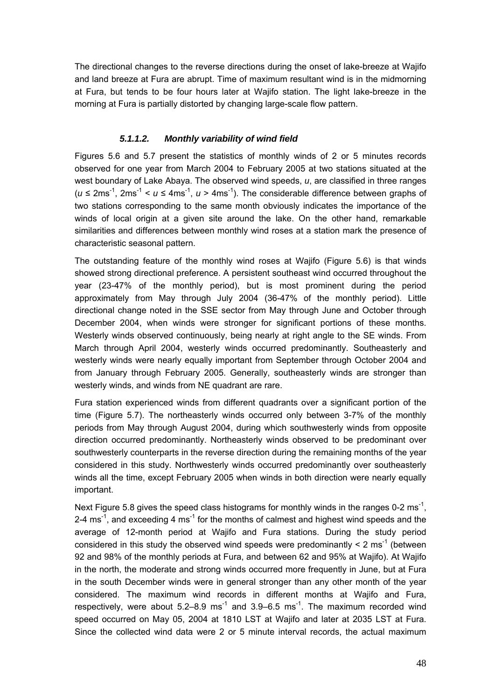The directional changes to the reverse directions during the onset of lake-breeze at Wajifo and land breeze at Fura are abrupt. Time of maximum resultant wind is in the midmorning at Fura, but tends to be four hours later at Wajifo station. The light lake-breeze in the morning at Fura is partially distorted by changing large-scale flow pattern.

### *5.1.1.2. Monthly variability of wind field*

Figures 5.6 and 5.7 present the statistics of monthly winds of 2 or 5 minutes records observed for one year from March 2004 to February 2005 at two stations situated at the west boundary of Lake Abaya. The observed wind speeds, *u*, are classified in three ranges  $(u \le 2ms^{-1}, 2ms^{-1} < u \le 4ms^{-1}, u > 4ms^{-1})$ . The considerable difference between graphs of two stations corresponding to the same month obviously indicates the importance of the winds of local origin at a given site around the lake. On the other hand, remarkable similarities and differences between monthly wind roses at a station mark the presence of characteristic seasonal pattern.

The outstanding feature of the monthly wind roses at Wajifo (Figure 5.6) is that winds showed strong directional preference. A persistent southeast wind occurred throughout the year (23-47% of the monthly period), but is most prominent during the period approximately from May through July 2004 (36-47% of the monthly period). Little directional change noted in the SSE sector from May through June and October through December 2004, when winds were stronger for significant portions of these months. Westerly winds observed continuously, being nearly at right angle to the SE winds. From March through April 2004, westerly winds occurred predominantly. Southeasterly and westerly winds were nearly equally important from September through October 2004 and from January through February 2005. Generally, southeasterly winds are stronger than westerly winds, and winds from NE quadrant are rare.

Fura station experienced winds from different quadrants over a significant portion of the time (Figure 5.7). The northeasterly winds occurred only between 3-7% of the monthly periods from May through August 2004, during which southwesterly winds from opposite direction occurred predominantly. Northeasterly winds observed to be predominant over southwesterly counterparts in the reverse direction during the remaining months of the year considered in this study. Northwesterly winds occurred predominantly over southeasterly winds all the time, except February 2005 when winds in both direction were nearly equally important.

Next Figure 5.8 gives the speed class histograms for monthly winds in the ranges 0-2 ms<sup>-1</sup>. 2-4 ms<sup>-1</sup>, and exceeding 4 ms<sup>-1</sup> for the months of calmest and highest wind speeds and the average of 12-month period at Wajifo and Fura stations. During the study period considered in this study the observed wind speeds were predominantly  $\leq 2 \text{ ms}^{-1}$  (between 92 and 98% of the monthly periods at Fura, and between 62 and 95% at Wajifo). At Wajifo in the north, the moderate and strong winds occurred more frequently in June, but at Fura in the south December winds were in general stronger than any other month of the year considered. The maximum wind records in different months at Wajifo and Fura, respectively, were about 5.2–8.9 ms<sup>-1</sup> and 3.9–6.5 ms<sup>-1</sup>. The maximum recorded wind speed occurred on May 05, 2004 at 1810 LST at Wajifo and later at 2035 LST at Fura. Since the collected wind data were 2 or 5 minute interval records, the actual maximum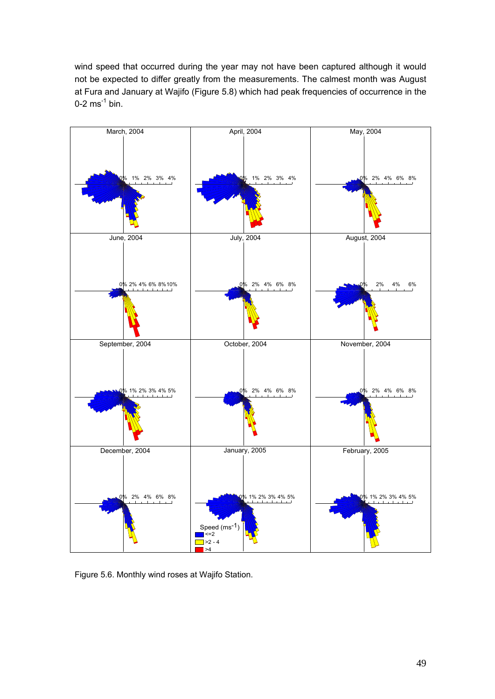wind speed that occurred during the year may not have been captured although it would not be expected to differ greatly from the measurements. The calmest month was August at Fura and January at Wajifo (Figure 5.8) which had peak frequencies of occurrence in the  $0-2$  ms<sup>-1</sup> bin.



Figure 5.6. Monthly wind roses at Wajifo Station.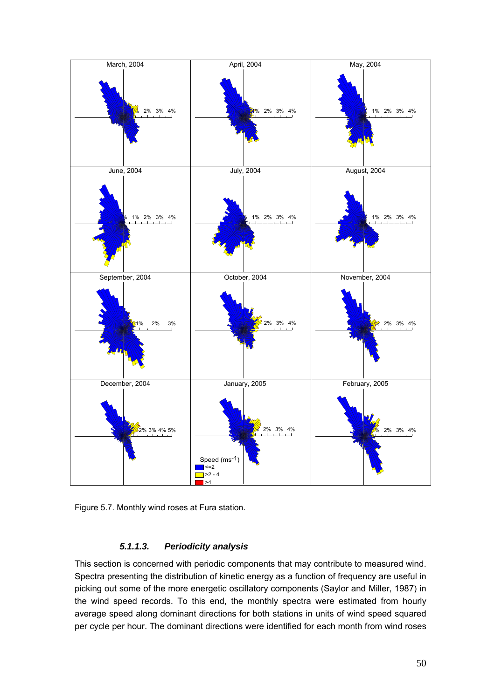

Figure 5.7. Monthly wind roses at Fura station.

## *5.1.1.3. Periodicity analysis*

This section is concerned with periodic components that may contribute to measured wind. Spectra presenting the distribution of kinetic energy as a function of frequency are useful in picking out some of the more energetic oscillatory components (Saylor and Miller, 1987) in the wind speed records. To this end, the monthly spectra were estimated from hourly average speed along dominant directions for both stations in units of wind speed squared per cycle per hour. The dominant directions were identified for each month from wind roses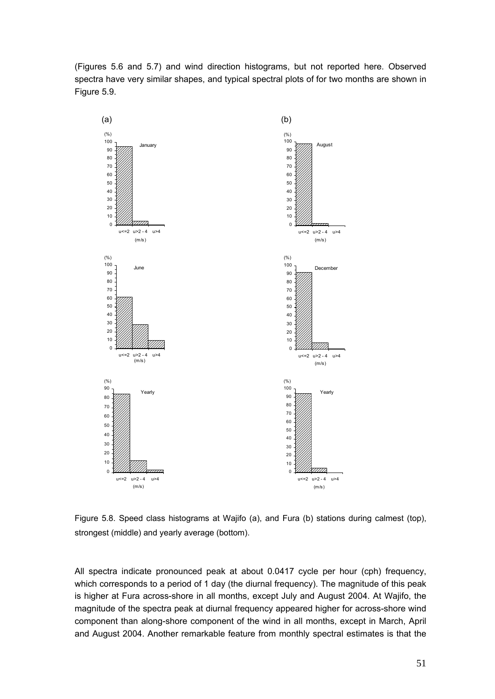(Figures 5.6 and 5.7) and wind direction histograms, but not reported here. Observed spectra have very similar shapes, and typical spectral plots of for two months are shown in Figure 5.9.



Figure 5.8. Speed class histograms at Wajifo (a), and Fura (b) stations during calmest (top), strongest (middle) and yearly average (bottom).

All spectra indicate pronounced peak at about 0.0417 cycle per hour (cph) frequency, which corresponds to a period of 1 day (the diurnal frequency). The magnitude of this peak is higher at Fura across-shore in all months, except July and August 2004. At Wajifo, the magnitude of the spectra peak at diurnal frequency appeared higher for across-shore wind component than along-shore component of the wind in all months, except in March, April and August 2004. Another remarkable feature from monthly spectral estimates is that the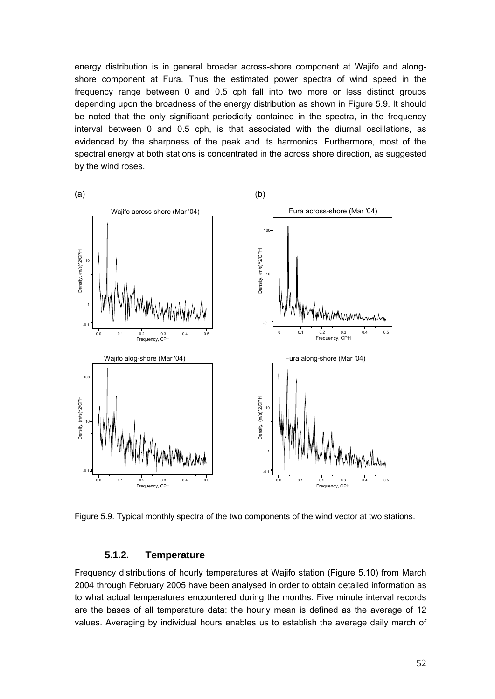energy distribution is in general broader across-shore component at Wajifo and alongshore component at Fura. Thus the estimated power spectra of wind speed in the frequency range between 0 and 0.5 cph fall into two more or less distinct groups depending upon the broadness of the energy distribution as shown in Figure 5.9. It should be noted that the only significant periodicity contained in the spectra, in the frequency interval between 0 and 0.5 cph, is that associated with the diurnal oscillations, as evidenced by the sharpness of the peak and its harmonics. Furthermore, most of the spectral energy at both stations is concentrated in the across shore direction, as suggested by the wind roses.



Figure 5.9. Typical monthly spectra of the two components of the wind vector at two stations.

#### **5.1.2. Temperature**

Frequency distributions of hourly temperatures at Wajifo station (Figure 5.10) from March 2004 through February 2005 have been analysed in order to obtain detailed information as to what actual temperatures encountered during the months. Five minute interval records are the bases of all temperature data: the hourly mean is defined as the average of 12 values. Averaging by individual hours enables us to establish the average daily march of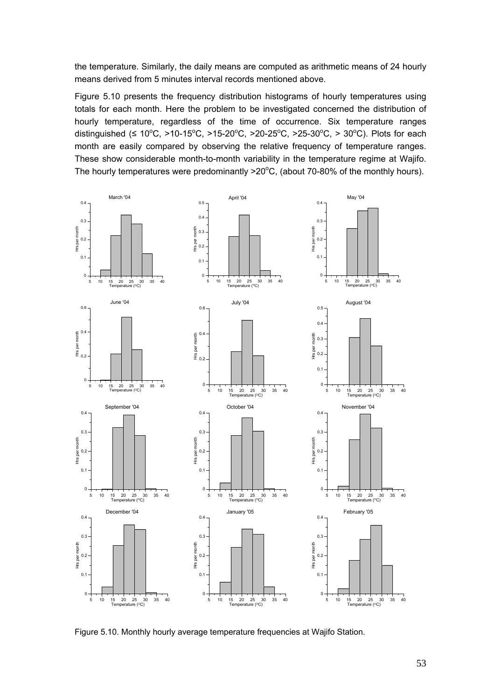the temperature. Similarly, the daily means are computed as arithmetic means of 24 hourly means derived from 5 minutes interval records mentioned above.

Figure 5.10 presents the frequency distribution histograms of hourly temperatures using totals for each month. Here the problem to be investigated concerned the distribution of hourly temperature, regardless of the time of occurrence. Six temperature ranges distinguished (≤ 10°C, >10-15°C, >15-20°C, >20-25°C, >25-30°C, > 30°C). Plots for each month are easily compared by observing the relative frequency of temperature ranges. These show considerable month-to-month variability in the temperature regime at Wajifo. The hourly temperatures were predominantly  $>20^{\circ}$ C, (about 70-80% of the monthly hours).



Figure 5.10. Monthly hourly average temperature frequencies at Wajifo Station.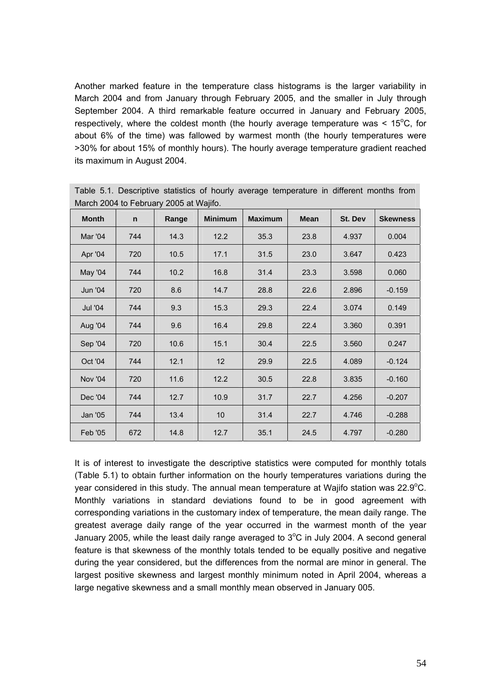Another marked feature in the temperature class histograms is the larger variability in March 2004 and from January through February 2005, and the smaller in July through September 2004. A third remarkable feature occurred in January and February 2005, respectively, where the coldest month (the hourly average temperature was  $< 15^{\circ}$ C, for about 6% of the time) was fallowed by warmest month (the hourly temperatures were >30% for about 15% of monthly hours). The hourly average temperature gradient reached its maximum in August 2004.

| <b>Month</b>   | n   | Range | <b>Minimum</b> | <b>Maximum</b> | <b>Mean</b> | St. Dev | <b>Skewness</b> |  |  |
|----------------|-----|-------|----------------|----------------|-------------|---------|-----------------|--|--|
| Mar '04        | 744 | 14.3  | 12.2           | 35.3           | 23.8        | 4.937   | 0.004           |  |  |
| Apr '04        | 720 | 10.5  | 17.1           | 31.5           | 23.0        | 3.647   | 0.423           |  |  |
| May '04        | 744 | 10.2  | 16.8           | 31.4           | 23.3        | 3.598   | 0.060           |  |  |
| Jun '04        | 720 | 8.6   | 14.7           | 28.8           | 22.6        | 2.896   | $-0.159$        |  |  |
| Jul '04        | 744 | 9.3   | 15.3           | 29.3           | 22.4        | 3.074   | 0.149           |  |  |
| Aug '04        | 744 | 9.6   | 16.4           | 29.8           | 22.4        | 3.360   | 0.391           |  |  |
| Sep '04        | 720 | 10.6  | 15.1           | 30.4           | 22.5        | 3.560   | 0.247           |  |  |
| Oct '04        | 744 | 12.1  | 12             | 29.9           | 22.5        | 4.089   | $-0.124$        |  |  |
| <b>Nov '04</b> | 720 | 11.6  | 12.2           | 30.5           | 22.8        | 3.835   | $-0.160$        |  |  |
| Dec '04        | 744 | 12.7  | 10.9           | 31.7           | 22.7        | 4.256   | $-0.207$        |  |  |
| Jan '05        | 744 | 13.4  | 10             | 31.4           | 22.7        | 4.746   | $-0.288$        |  |  |
| Feb '05        | 672 | 14.8  | 12.7           | 35.1           | 24.5        | 4.797   | $-0.280$        |  |  |

Table 5.1. Descriptive statistics of hourly average temperature in different months from March 2004 to February 2005 at Wajifo.

It is of interest to investigate the descriptive statistics were computed for monthly totals (Table 5.1) to obtain further information on the hourly temperatures variations during the year considered in this study. The annual mean temperature at Wajifo station was 22.9°C. Monthly variations in standard deviations found to be in good agreement with corresponding variations in the customary index of temperature, the mean daily range. The greatest average daily range of the year occurred in the warmest month of the year January 2005, while the least daily range averaged to  $3^{\circ}$ C in July 2004. A second general feature is that skewness of the monthly totals tended to be equally positive and negative during the year considered, but the differences from the normal are minor in general. The largest positive skewness and largest monthly minimum noted in April 2004, whereas a large negative skewness and a small monthly mean observed in January 005.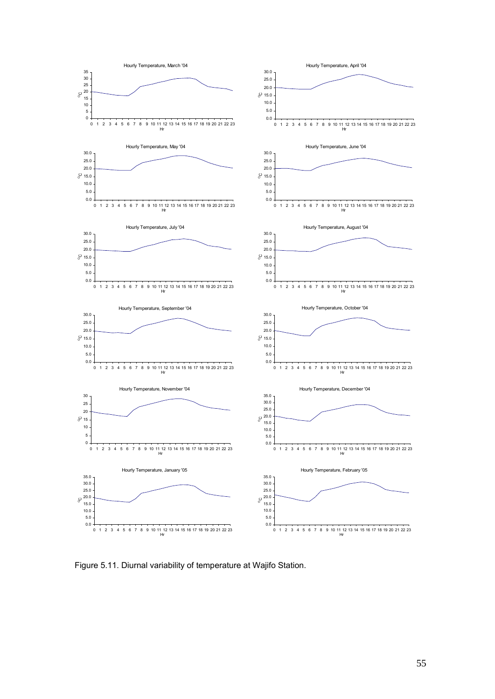

Figure 5.11. Diurnal variability of temperature at Wajifo Station.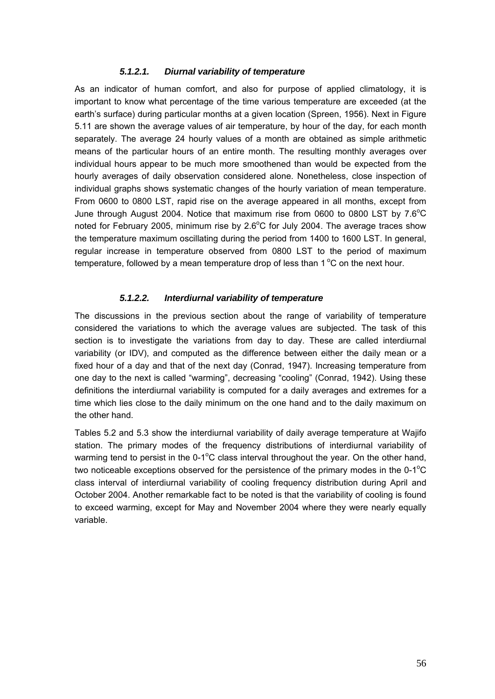#### *5.1.2.1. Diurnal variability of temperature*

As an indicator of human comfort, and also for purpose of applied climatology, it is important to know what percentage of the time various temperature are exceeded (at the earth's surface) during particular months at a given location (Spreen, 1956). Next in Figure 5.11 are shown the average values of air temperature, by hour of the day, for each month separately. The average 24 hourly values of a month are obtained as simple arithmetic means of the particular hours of an entire month. The resulting monthly averages over individual hours appear to be much more smoothened than would be expected from the hourly averages of daily observation considered alone. Nonetheless, close inspection of individual graphs shows systematic changes of the hourly variation of mean temperature. From 0600 to 0800 LST, rapid rise on the average appeared in all months, except from June through August 2004. Notice that maximum rise from 0600 to 0800 LST by  $7.6^{\circ}$ C noted for February 2005, minimum rise by  $2.6^{\circ}$ C for July 2004. The average traces show the temperature maximum oscillating during the period from 1400 to 1600 LST. In general, regular increase in temperature observed from 0800 LST to the period of maximum temperature, followed by a mean temperature drop of less than  $1^{\circ}$ C on the next hour.

### *5.1.2.2. Interdiurnal variability of temperature*

The discussions in the previous section about the range of variability of temperature considered the variations to which the average values are subjected. The task of this section is to investigate the variations from day to day. These are called interdiurnal variability (or IDV), and computed as the difference between either the daily mean or a fixed hour of a day and that of the next day (Conrad, 1947). Increasing temperature from one day to the next is called "warming", decreasing "cooling" (Conrad, 1942). Using these definitions the interdiurnal variability is computed for a daily averages and extremes for a time which lies close to the daily minimum on the one hand and to the daily maximum on the other hand.

Tables 5.2 and 5.3 show the interdiurnal variability of daily average temperature at Wajifo station. The primary modes of the frequency distributions of interdiurnal variability of warming tend to persist in the  $0-1^{\circ}$ C class interval throughout the year. On the other hand, two noticeable exceptions observed for the persistence of the primary modes in the  $0-1^{\circ}C$ class interval of interdiurnal variability of cooling frequency distribution during April and October 2004. Another remarkable fact to be noted is that the variability of cooling is found to exceed warming, except for May and November 2004 where they were nearly equally variable.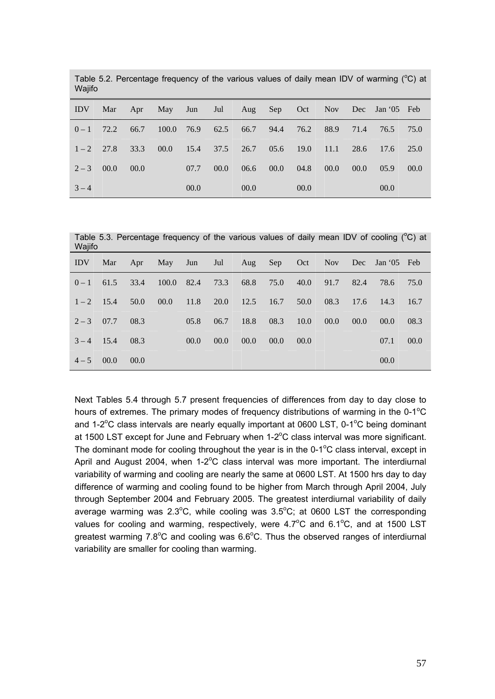| Wajifo     |      |      |             |                   |      |      |                 |      |      |      |                 |      |
|------------|------|------|-------------|-------------------|------|------|-----------------|------|------|------|-----------------|------|
| <b>IDV</b> | Mar  |      | Apr May Jun |                   |      |      | Jul Aug Sep Oct |      | Nov  |      | Dec Jan '05 Feb |      |
| $0-1$      | 72.2 | 66.7 |             | $100.0$ 76.9 62.5 |      |      | 66.7 94.4       | 76.2 | 88.9 | 71.4 | 76.5            | 75.0 |
| $1-2$ 27.8 |      | 33.3 | 00.0        | 15.4              | 37.5 | 26.7 | 05.6            | 19.0 | 11.1 | 28.6 | 17.6            | 25.0 |
| $2 - 3$    | 00.0 | 00.0 |             | 07.7              | 00.0 | 06.6 | 00.0            | 04.8 | 00.0 | 00.0 | 05.9            | 00.0 |
| $3 - 4$    |      |      |             | 00.0              |      | 00.0 |                 | 00.0 |      |      | 00.0            |      |

Table 5.2. Percentage frequency of the various values of daily mean IDV of warming  $(^{\circ}C)$  at

Table 5.3. Percentage frequency of the various values of daily mean IDV of cooling  $(^{\circ}C)$  at

| Wajifo       |      |      |      |      |                    |      |                |      |      |      |                                                |
|--------------|------|------|------|------|--------------------|------|----------------|------|------|------|------------------------------------------------|
| Mar          |      |      |      |      |                    |      |                |      |      |      |                                                |
| 61.5         | 33.4 |      |      | 73.3 |                    | 75.0 |                |      | 82.4 | 78.6 | 75.0                                           |
| $1 - 2$ 15.4 | 50.0 | 00.0 |      |      |                    |      | 50.0           | 08.3 | 17.6 | 14.3 | 16.7                                           |
| $2 - 3$ 07.7 | 08.3 |      | 05.8 | 06.7 | 18.8               | 08.3 | 10.0           | 00.0 | 00.0 | 00.0 | 08.3                                           |
| $3 - 4$ 15.4 |      |      | 00.0 | 00.0 | 00.0               | 00.0 | 00.0           |      |      | 07.1 | 00.0                                           |
| $4 - 5$ 00.0 | 00.0 |      |      |      |                    |      |                |      |      | 00.0 |                                                |
|              |      | 08.3 |      |      | 100.0 82.4<br>11.8 | 68.8 | 20.0 12.5 16.7 | 40.0 | 91.7 |      | Apr May Jun Jul Aug Sep Oct Nov Dec Jan 05 Feb |

Next Tables 5.4 through 5.7 present frequencies of differences from day to day close to hours of extremes. The primary modes of frequency distributions of warming in the  $0-1$ <sup>o</sup>C and  $1-2^{\circ}$ C class intervals are nearly equally important at 0600 LST, 0-1 $^{\circ}$ C being dominant at 1500 LST except for June and February when  $1-2$ <sup>o</sup>C class interval was more significant. The dominant mode for cooling throughout the year is in the  $0-1^{\circ}C$  class interval, except in April and August 2004, when  $1-2$ <sup>o</sup>C class interval was more important. The interdiurnal variability of warming and cooling are nearly the same at 0600 LST. At 1500 hrs day to day difference of warming and cooling found to be higher from March through April 2004, July through September 2004 and February 2005. The greatest interdiurnal variability of daily average warming was  $2.3^{\circ}$ C, while cooling was  $3.5^{\circ}$ C; at 0600 LST the corresponding values for cooling and warming, respectively, were  $4.7^{\circ}$ C and  $6.1^{\circ}$ C, and at 1500 LST greatest warming  $7.8^{\circ}$ C and cooling was  $6.6^{\circ}$ C. Thus the observed ranges of interdiurnal variability are smaller for cooling than warming.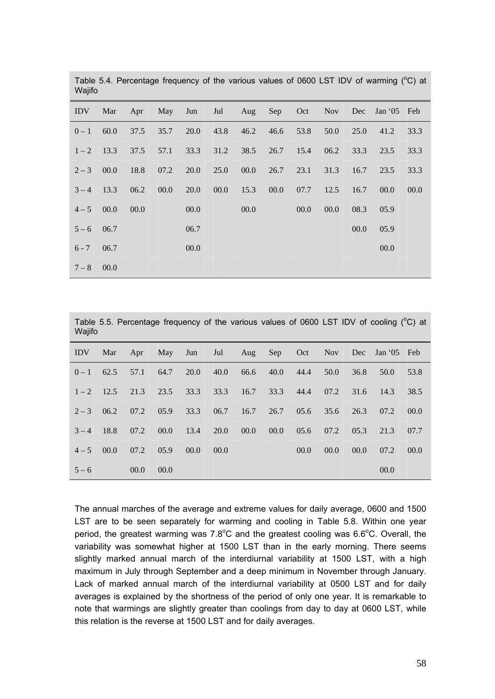| <b>VV</b> d <sub>III</sub> U |      |      |      |      |      |                 |      |      |      |      |             |      |
|------------------------------|------|------|------|------|------|-----------------|------|------|------|------|-------------|------|
| <b>IDV</b>                   | Mar  | Apr  | May  | Jun  |      | Jul Aug Sep Oct |      |      | Nov  | Dec  | Jan '05 Feb |      |
| $0 - 1$                      | 60.0 | 37.5 | 35.7 | 20.0 | 43.8 | 46.2            | 46.6 | 53.8 | 50.0 | 25.0 | 41.2        | 33.3 |
| $1 - 2$                      | 13.3 | 37.5 | 57.1 | 33.3 | 31.2 | 38.5            | 26.7 | 15.4 | 06.2 | 33.3 | 23.5        | 33.3 |
| $2 - 3$                      | 00.0 | 18.8 | 07.2 | 20.0 | 25.0 | 00.0            | 26.7 | 23.1 | 31.3 | 16.7 | 23.5        | 33.3 |
| $3 - 4$                      | 13.3 | 06.2 | 00.0 | 20.0 | 00.0 | 15.3            | 00.0 | 07.7 | 12.5 | 16.7 | 00.0        | 00.0 |
| $4 - 500.0$                  |      | 00.0 |      | 00.0 |      | 00.0            |      | 00.0 | 00.0 | 08.3 | 05.9        |      |
| $5 - 6$ 06.7                 |      |      |      | 06.7 |      |                 |      |      |      | 00.0 | 05.9        |      |
| $6 - 7$                      | 06.7 |      |      | 00.0 |      |                 |      |      |      |      | 00.0        |      |
| $7 - 8$                      | 00.0 |      |      |      |      |                 |      |      |      |      |             |      |

Table 5.4. Percentage frequency of the various values of 0600 LST IDV of warming  $(^{\circ}C)$  at Wajifo

| Table 5.5. Percentage frequency of the various values of 0600 LST IDV of cooling (°C) at<br>Wajifo |      |      |      |      |      |      |      |      |            |      |             |      |
|----------------------------------------------------------------------------------------------------|------|------|------|------|------|------|------|------|------------|------|-------------|------|
| <b>IDV</b>                                                                                         | Mar  | Apr  | May  | Jun  | Jul  | Aug  | Sep  | Oct  | <b>Nov</b> | Dec  | Jan '05 Feb |      |
| $0 - 1$                                                                                            | 62.5 | 57.1 | 64.7 | 20.0 | 40.0 | 66.6 | 40.0 | 44.4 | 50.0       | 36.8 | 50.0        | 53.8 |
| $1 - 2$                                                                                            | 12.5 | 21.3 | 23.5 | 33.3 | 33.3 | 16.7 | 33.3 | 44.4 | 07.2       | 31.6 | 14.3        | 38.5 |
| $2 - 3$                                                                                            | 06.2 | 07.2 | 05.9 | 33.3 | 06.7 | 16.7 | 26.7 | 05.6 | 35.6       | 26.3 | 07.2        | 00.0 |
| $3 - 4$                                                                                            | 18.8 | 07.2 | 00.0 | 13.4 | 20.0 | 00.0 | 00.0 | 05.6 | 07.2       | 05.3 | 21.3        | 07.7 |
| $4 - 5$                                                                                            | 00.0 | 07.2 | 05.9 | 00.0 | 00.0 |      |      | 00.0 | 00.0       | 00.0 | 07.2        | 00.0 |
| $5 - 6$                                                                                            |      | 00.0 | 00.0 |      |      |      |      |      |            |      | 00.0        |      |

The annual marches of the average and extreme values for daily average, 0600 and 1500 LST are to be seen separately for warming and cooling in Table 5.8. Within one year period, the greatest warming was 7.8 $^{\circ}$ C and the greatest cooling was 6.6 $^{\circ}$ C. Overall, the variability was somewhat higher at 1500 LST than in the early morning. There seems slightly marked annual march of the interdiurnal variability at 1500 LST, with a high maximum in July through September and a deep minimum in November through January. Lack of marked annual march of the interdiurnal variability at 0500 LST and for daily averages is explained by the shortness of the period of only one year. It is remarkable to note that warmings are slightly greater than coolings from day to day at 0600 LST, while this relation is the reverse at 1500 LST and for daily averages.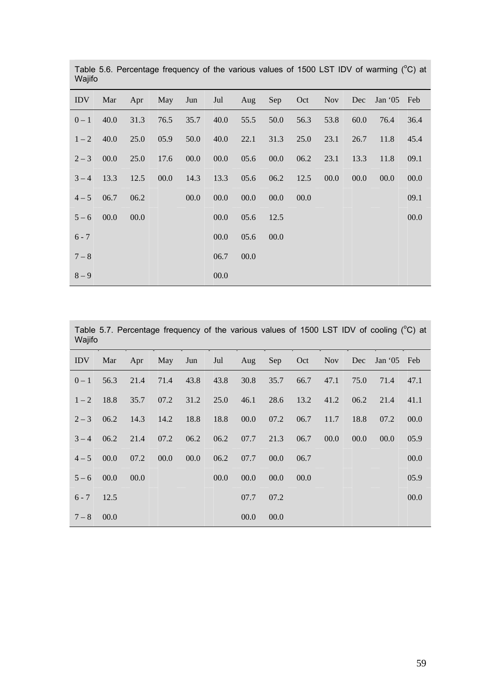| <b>IDV</b> | Mar  |      | Apr May Jun |      |      |      |      |      | Jul Aug Sep Oct Nov Dec |      | Jan '05 Feb |      |
|------------|------|------|-------------|------|------|------|------|------|-------------------------|------|-------------|------|
| $0 - 1$    | 40.0 | 31.3 | 76.5        | 35.7 | 40.0 | 55.5 | 50.0 | 56.3 | 53.8                    | 60.0 | 76.4        | 36.4 |
| $1 - 2$    | 40.0 | 25.0 | 05.9        | 50.0 | 40.0 | 22.1 | 31.3 | 25.0 | 23.1                    | 26.7 | 11.8        | 45.4 |
| $2 - 3$    | 00.0 | 25.0 | 17.6        | 00.0 | 00.0 | 05.6 | 00.0 | 06.2 | 23.1                    | 13.3 | 11.8        | 09.1 |
| $3 - 4$    | 13.3 | 12.5 | 00.0        | 14.3 | 13.3 | 05.6 | 06.2 | 12.5 | 00.0                    | 00.0 | 00.0        | 00.0 |
| $4 - 5$    | 06.7 | 06.2 |             | 00.0 | 00.0 | 00.0 | 00.0 | 00.0 |                         |      |             | 09.1 |
| $5 - 6$    | 00.0 | 00.0 |             |      | 00.0 | 05.6 | 12.5 |      |                         |      |             | 00.0 |
| $6 - 7$    |      |      |             |      | 00.0 | 05.6 | 00.0 |      |                         |      |             |      |
| $7 - 8$    |      |      |             |      | 06.7 | 00.0 |      |      |                         |      |             |      |
| $8 - 9$    |      |      |             |      | 00.0 |      |      |      |                         |      |             |      |

Table 5.6. Percentage frequency of the various values of 1500 LST IDV of warming  $(^{\circ}C)$  at Wajifo

Table 5.7. Percentage frequency of the various values of 1500 LST IDV of cooling  $(^{\circ}C)$  at Wajifo

| IDV.         |                                                              |         |                             |      |                                                   |      |      |  | Mar Apr May Jun Jul Aug Sep Oct Nov Dec Jan 05 Feb |      |
|--------------|--------------------------------------------------------------|---------|-----------------------------|------|---------------------------------------------------|------|------|--|----------------------------------------------------|------|
|              | $0-1$ 56.3                                                   |         |                             |      | 21.4 71.4 43.8 43.8 30.8 35.7 66.7 47.1 75.0 71.4 |      |      |  |                                                    | 47.1 |
|              | $1-2$ 18.8                                                   |         |                             |      |                                                   |      |      |  | 35.7 07.2 31.2 25.0 46.1 28.6 13.2 41.2 06.2 21.4  | 41.1 |
|              | 2 - 3 06.2 14.3 14.2 18.8 18.8 00.0 07.2 06.7 11.7 18.8 07.2 |         |                             |      |                                                   |      |      |  |                                                    | 00.0 |
|              | $3-4$ 06.2 21.4 07.2 06.2 06.2 07.7 21.3 06.7 00.0 00.0      |         |                             |      |                                                   |      |      |  | 00.0                                               | 05.9 |
|              | $4 - 500.0$                                                  | 07.2    | $00.0$ $00.0$ $06.2$ $07.7$ |      |                                                   | 00.0 | 06.7 |  |                                                    | 00.0 |
|              | $5 - 6$ 00.0                                                 | $-00.0$ |                             | 00.0 | 00.0                                              | 00.0 | 00.0 |  |                                                    | 05.9 |
| $6 - 7$ 12.5 |                                                              |         |                             |      | 07.7                                              | 07.2 |      |  |                                                    | 00.0 |
| $7 - 8$ 00.0 |                                                              |         |                             |      | 00.0                                              | 00.0 |      |  |                                                    |      |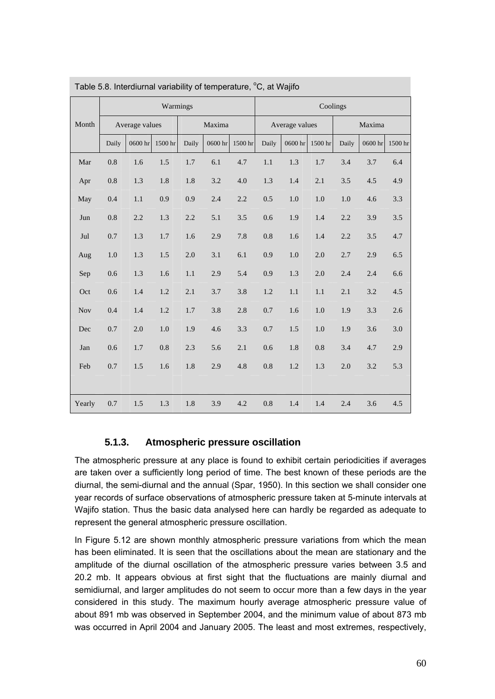| Table 5.8. Interdiurnal variability of temperature, °C, at Wajifo |         |                |          |         |         |         |         |                |          |         |         |         |
|-------------------------------------------------------------------|---------|----------------|----------|---------|---------|---------|---------|----------------|----------|---------|---------|---------|
|                                                                   |         |                | Warmings |         |         |         |         |                | Coolings |         |         |         |
| Month                                                             |         | Average values |          |         | Maxima  |         |         | Average values |          |         | Maxima  |         |
|                                                                   | Daily   | 0600 hr        | 1500 hr  | Daily   | 0600 hr | 1500 hr | Daily   | 0600 hr        | 1500 hr  | Daily   | 0600 hr | 1500 hr |
| Mar                                                               | $0.8\,$ | 1.6            | 1.5      | $1.7\,$ | 6.1     | 4.7     | $1.1\,$ | 1.3            | 1.7      | 3.4     | 3.7     | 6.4     |
| Apr                                                               | 0.8     | 1.3            | $1.8\,$  | 1.8     | 3.2     | 4.0     | 1.3     | 1.4            | 2.1      | 3.5     | 4.5     | 4.9     |
| May                                                               | 0.4     | 1.1            | 0.9      | 0.9     | 2.4     | 2.2     | 0.5     | $1.0\,$        | $1.0\,$  | 1.0     | 4.6     | 3.3     |
| Jun                                                               | $0.8\,$ | 2.2            | 1.3      | 2.2     | 5.1     | 3.5     | 0.6     | 1.9            | 1.4      | 2.2     | 3.9     | 3.5     |
| $\mathrm{Jul}$                                                    | 0.7     | $1.3\,$        | $1.7\,$  | 1.6     | $2.9\,$ | 7.8     | $0.8\,$ | 1.6            | 1.4      | 2.2     | 3.5     | 4.7     |
| Aug                                                               | 1.0     | 1.3            | 1.5      | 2.0     | 3.1     | 6.1     | 0.9     | 1.0            | $2.0\,$  | 2.7     | 2.9     | 6.5     |
| Sep                                                               | 0.6     | 1.3            | 1.6      | $1.1\,$ | 2.9     | 5.4     | 0.9     | 1.3            | $2.0\,$  | $2.4\,$ | 2.4     | 6.6     |
| Oct                                                               | 0.6     | 1.4            | $1.2\,$  | 2.1     | 3.7     | 3.8     | $1.2\,$ | 1.1            | 1.1      | 2.1     | 3.2     | 4.5     |
| <b>Nov</b>                                                        | 0.4     | 1.4            | $1.2\,$  | 1.7     | 3.8     | 2.8     | $0.7\,$ | 1.6            | $1.0\,$  | 1.9     | 3.3     | 2.6     |
| Dec                                                               | 0.7     | $2.0\,$        | $1.0\,$  | 1.9     | 4.6     | 3.3     | 0.7     | 1.5            | $1.0\,$  | 1.9     | 3.6     | 3.0     |
| Jan                                                               | 0.6     | $1.7\,$        | $0.8\,$  | 2.3     | 5.6     | 2.1     | 0.6     | $1.8\,$        | $0.8\,$  | 3.4     | 4.7     | 2.9     |
| Feb                                                               | 0.7     | 1.5            | 1.6      | $1.8\,$ | 2.9     | 4.8     | $0.8\,$ | $1.2\,$        | 1.3      | 2.0     | 3.2     | 5.3     |
|                                                                   |         |                |          |         |         |         |         |                |          |         |         |         |
| Yearly                                                            | 0.7     | 1.5            | 1.3      | 1.8     | 3.9     | 4.2     | 0.8     | 1.4            | 1.4      | 2.4     | 3.6     | 4.5     |

### **5.1.3. Atmospheric pressure oscillation**

The atmospheric pressure at any place is found to exhibit certain periodicities if averages are taken over a sufficiently long period of time. The best known of these periods are the diurnal, the semi-diurnal and the annual (Spar, 1950). In this section we shall consider one year records of surface observations of atmospheric pressure taken at 5-minute intervals at Wajifo station. Thus the basic data analysed here can hardly be regarded as adequate to represent the general atmospheric pressure oscillation.

In Figure 5.12 are shown monthly atmospheric pressure variations from which the mean has been eliminated. It is seen that the oscillations about the mean are stationary and the amplitude of the diurnal oscillation of the atmospheric pressure varies between 3.5 and 20.2 mb. It appears obvious at first sight that the fluctuations are mainly diurnal and semidiurnal, and larger amplitudes do not seem to occur more than a few days in the year considered in this study. The maximum hourly average atmospheric pressure value of about 891 mb was observed in September 2004, and the minimum value of about 873 mb was occurred in April 2004 and January 2005. The least and most extremes, respectively,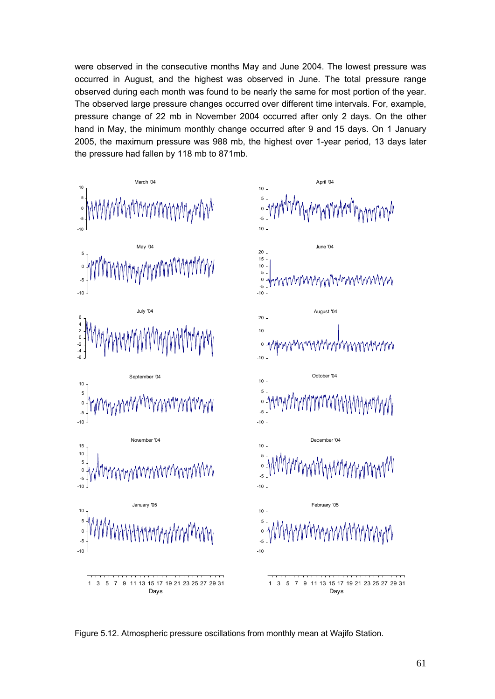were observed in the consecutive months May and June 2004. The lowest pressure was occurred in August, and the highest was observed in June. The total pressure range observed during each month was found to be nearly the same for most portion of the year. The observed large pressure changes occurred over different time intervals. For, example, pressure change of 22 mb in November 2004 occurred after only 2 days. On the other hand in May, the minimum monthly change occurred after 9 and 15 days. On 1 January 2005, the maximum pressure was 988 mb, the highest over 1-year period, 13 days later the pressure had fallen by 118 mb to 871mb.



Figure 5.12. Atmospheric pressure oscillations from monthly mean at Wajifo Station.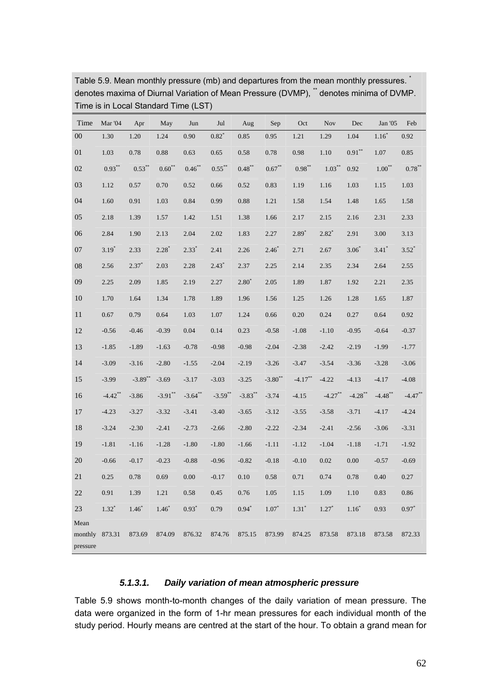| Time             | Mar '04        | Apr       | May         | Jun       | Jul        | Aug       | Sep              | Oct       | <b>Nov</b> | Dec        | Jan '05             | Feb         |
|------------------|----------------|-----------|-------------|-----------|------------|-----------|------------------|-----------|------------|------------|---------------------|-------------|
| $00\,$           | 1.30           | 1.20      | 1.24        | 0.90      | $0.82^{*}$ | 0.85      | 0.95             | 1.21      | 1.29       | 1.04       | $1.16*$             | $0.92\,$    |
| 01               | 1.03           | 0.78      | 0.88        | 0.63      | 0.65       | 0.58      | 0.78             | 0.98      | 1.10       | $0.91***$  | 1.07                | 0.85        |
| 02               | $0.93**$       | $0.53***$ | $0.60^{**}$ | $0.46***$ | $0.55***$  | $0.48***$ | $0.67**$         | $0.98***$ | $1.03***$  | 0.92       | $1.00**$            | $0.78^{**}$ |
| 03               | 1.12           | 0.57      | 0.70        | 0.52      | 0.66       | 0.52      | 0.83             | 1.19      | 1.16       | 1.03       | 1.15                | 1.03        |
| 04               | 1.60           | 0.91      | 1.03        | 0.84      | 0.99       | 0.88      | 1.21             | 1.58      | 1.54       | 1.48       | 1.65                | 1.58        |
| 05               | 2.18           | 1.39      | 1.57        | 1.42      | 1.51       | 1.38      | 1.66             | 2.17      | 2.15       | 2.16       | 2.31                | 2.33        |
| 06               | 2.84           | 1.90      | 2.13        | 2.04      | 2.02       | 1.83      | 2.27             | $2.89*$   | $2.82*$    | 2.91       | 3.00                | 3.13        |
| 07               | $3.19*$        | 2.33      | $2.28*$     | $2.33*$   | 2.41       | 2.26      | $2.46^{\degree}$ | 2.71      | 2.67       | $3.06*$    | $3.41$ <sup>*</sup> | $3.52^*$    |
| ${\bf 08}$       | 2.56           | $2.37*$   | 2.03        | 2.28      | $2.43*$    | 2.37      | 2.25             | 2.14      | 2.35       | 2.34       | 2.64                | 2.55        |
| 09               | 2.25           | 2.09      | 1.85        | 2.19      | 2.27       | $2.80^*$  | 2.05             | 1.89      | 1.87       | 1.92       | 2.21                | 2.35        |
| 10               | 1.70           | 1.64      | 1.34        | 1.78      | 1.89       | 1.96      | 1.56             | 1.25      | 1.26       | 1.28       | 1.65                | 1.87        |
| 11               | 0.67           | 0.79      | 0.64        | 1.03      | 1.07       | 1.24      | 0.66             | 0.20      | 0.24       | 0.27       | 0.64                | 0.92        |
| 12               | $-0.56$        | $-0.46$   | $-0.39$     | 0.04      | 0.14       | 0.23      | $-0.58$          | $-1.08$   | $-1.10$    | $-0.95$    | $-0.64$             | $-0.37$     |
| 13               | $-1.85$        | $-1.89$   | $-1.63$     | $-0.78$   | $-0.98$    | $-0.98$   | $-2.04$          | $-2.38$   | $-2.42$    | $-2.19$    | $-1.99$             | $-1.77$     |
| 14               | $-3.09$        | $-3.16$   | $-2.80$     | $-1.55$   | $-2.04$    | $-2.19$   | $-3.26$          | $-3.47$   | $-3.54$    | $-3.36$    | $-3.28$             | $-3.06$     |
| 15               | $-3.99$        | $-3.89**$ | $-3.69$     | $-3.17$   | $-3.03$    | $-3.25$   | $-3.80**$        | $-4.17**$ | $-4.22$    | $-4.13$    | $-4.17$             | $-4.08$     |
| 16               | $-4.42$ **     | $-3.86$   | $-3.91**$   | $-3.64**$ | $-3.59**$  | $-3.83**$ | $-3.74$          | $-4.15$   | $-4.27**$  | $-4.28$ ** | $-4.48$ **          | $-4.47**$   |
| 17               | $-4.23$        | $-3.27$   | $-3.32$     | $-3.41$   | $-3.40$    | $-3.65$   | $-3.12$          | $-3.55$   | $-3.58$    | $-3.71$    | $-4.17$             | $-4.24$     |
| 18               | $-3.24$        | $-2.30$   | $-2.41$     | $-2.73$   | $-2.66$    | $-2.80$   | $-2.22$          | $-2.34$   | $-2.41$    | $-2.56$    | $-3.06$             | $-3.31$     |
| 19               | $-1.81$        | $-1.16$   | $-1.28$     | $-1.80$   | $-1.80$    | $-1.66$   | $-1.11$          | $-1.12$   | $-1.04$    | $-1.18$    | $-1.71$             | $-1.92$     |
| 20               | $-0.66$        | $-0.17$   | $-0.23$     | $-0.88$   | $-0.96$    | $-0.82$   | $-0.18$          | $-0.10$   | 0.02       | 0.00       | $-0.57$             | $-0.69$     |
| $21\,$           | 0.25           | 0.78      | 0.69        | 0.00      | $-0.17$    | 0.10      | 0.58             | 0.71      | 0.74       | 0.78       | 0.40                | 0.27        |
| 22               | 0.91           | 1.39      | 1.21        | 0.58      | 0.45       | 0.76      | 1.05             | 1.15      | 1.09       | $1.10\,$   | 0.83                | $0.86\,$    |
| 23               | $1.32*$        | $1.46*$   | $1.46*$     | $0.93*$   | 0.79       | $0.94*$   | $1.07*$          | $1.31*$   | $1.27*$    | $1.16*$    | 0.93                | $0.97*$     |
| Mean<br>pressure | monthly 873.31 | 873.69    | 874.09      | 876.32    | 874.76     | 875.15    | 873.99           | 874.25    | 873.58     | 873.18     | 873.58              | 872.33      |

Table 5.9. Mean monthly pressure (mb) and departures from the mean monthly pressures. \* denotes maxima of Diurnal Variation of Mean Pressure (DVMP), \*\* denotes minima of DVMP. Time is in Local Standard Time (LST)

#### *5.1.3.1. Daily variation of mean atmospheric pressure*

Table 5.9 shows month-to-month changes of the daily variation of mean pressure. The data were organized in the form of 1-hr mean pressures for each individual month of the study period. Hourly means are centred at the start of the hour. To obtain a grand mean for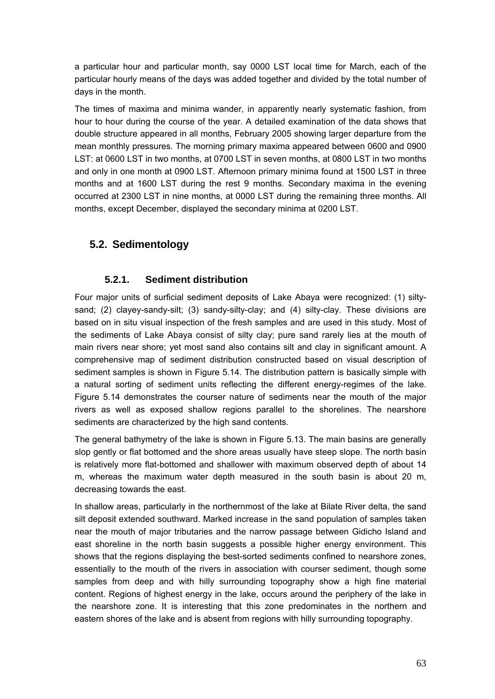a particular hour and particular month, say 0000 LST local time for March, each of the particular hourly means of the days was added together and divided by the total number of days in the month.

The times of maxima and minima wander, in apparently nearly systematic fashion, from hour to hour during the course of the year. A detailed examination of the data shows that double structure appeared in all months, February 2005 showing larger departure from the mean monthly pressures. The morning primary maxima appeared between 0600 and 0900 LST: at 0600 LST in two months, at 0700 LST in seven months, at 0800 LST in two months and only in one month at 0900 LST. Afternoon primary minima found at 1500 LST in three months and at 1600 LST during the rest 9 months. Secondary maxima in the evening occurred at 2300 LST in nine months, at 0000 LST during the remaining three months. All months, except December, displayed the secondary minima at 0200 LST.

# **5.2. Sedimentology**

# **5.2.1. Sediment distribution**

Four major units of surficial sediment deposits of Lake Abaya were recognized: (1) siltysand; (2) clayey-sandy-silt; (3) sandy-silty-clay; and (4) silty-clay. These divisions are based on in situ visual inspection of the fresh samples and are used in this study. Most of the sediments of Lake Abaya consist of silty clay; pure sand rarely lies at the mouth of main rivers near shore; yet most sand also contains silt and clay in significant amount. A comprehensive map of sediment distribution constructed based on visual description of sediment samples is shown in Figure 5.14. The distribution pattern is basically simple with a natural sorting of sediment units reflecting the different energy-regimes of the lake. Figure 5.14 demonstrates the courser nature of sediments near the mouth of the major rivers as well as exposed shallow regions parallel to the shorelines. The nearshore sediments are characterized by the high sand contents.

The general bathymetry of the lake is shown in Figure 5.13. The main basins are generally slop gently or flat bottomed and the shore areas usually have steep slope. The north basin is relatively more flat-bottomed and shallower with maximum observed depth of about 14 m, whereas the maximum water depth measured in the south basin is about 20 m, decreasing towards the east.

In shallow areas, particularly in the northernmost of the lake at Bilate River delta, the sand silt deposit extended southward. Marked increase in the sand population of samples taken near the mouth of major tributaries and the narrow passage between Gidicho Island and east shoreline in the north basin suggests a possible higher energy environment. This shows that the regions displaying the best-sorted sediments confined to nearshore zones, essentially to the mouth of the rivers in association with courser sediment, though some samples from deep and with hilly surrounding topography show a high fine material content. Regions of highest energy in the lake, occurs around the periphery of the lake in the nearshore zone. It is interesting that this zone predominates in the northern and eastern shores of the lake and is absent from regions with hilly surrounding topography.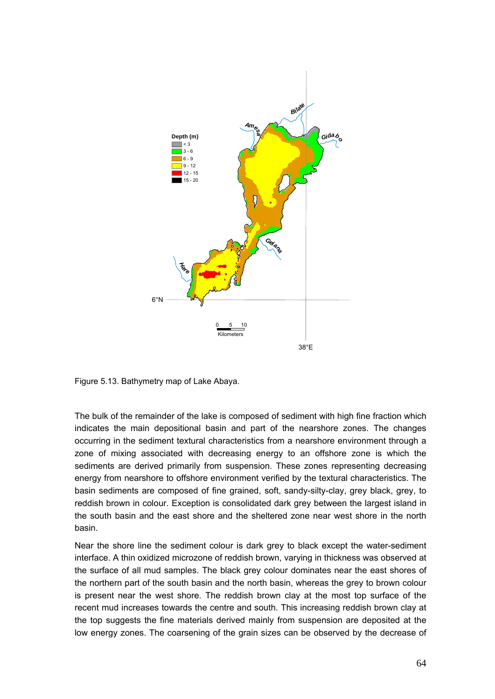

Figure 5.13. Bathymetry map of Lake Abaya.

The bulk of the remainder of the lake is composed of sediment with high fine fraction which indicates the main depositional basin and part of the nearshore zones. The changes occurring in the sediment textural characteristics from a nearshore environment through a zone of mixing associated with decreasing energy to an offshore zone is which the sediments are derived primarily from suspension. These zones representing decreasing energy from nearshore to offshore environment verified by the textural characteristics. The basin sediments are composed of fine grained, soft, sandy-silty-clay, grey black, grey, to reddish brown in colour. Exception is consolidated dark grey between the largest island in the south basin and the east shore and the sheltered zone near west shore in the north basin.

Near the shore line the sediment colour is dark grey to black except the water-sediment interface. A thin oxidized microzone of reddish brown, varying in thickness was observed at the surface of all mud samples. The black grey colour dominates near the east shores of the northern part of the south basin and the north basin, whereas the grey to brown colour is present near the west shore. The reddish brown clay at the most top surface of the recent mud increases towards the centre and south. This increasing reddish brown clay at the top suggests the fine materials derived mainly from suspension are deposited at the low energy zones. The coarsening of the grain sizes can be observed by the decrease of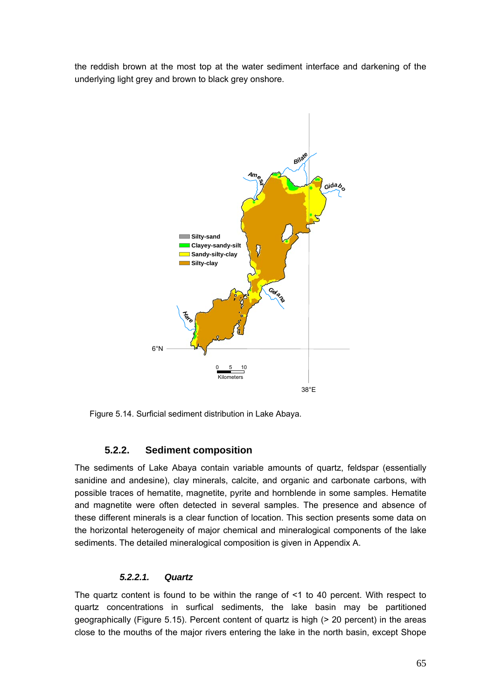the reddish brown at the most top at the water sediment interface and darkening of the underlying light grey and brown to black grey onshore.



Figure 5.14. Surficial sediment distribution in Lake Abaya.

# **5.2.2. Sediment composition**

The sediments of Lake Abaya contain variable amounts of quartz, feldspar (essentially sanidine and andesine), clay minerals, calcite, and organic and carbonate carbons, with possible traces of hematite, magnetite, pyrite and hornblende in some samples. Hematite and magnetite were often detected in several samples. The presence and absence of these different minerals is a clear function of location. This section presents some data on the horizontal heterogeneity of major chemical and mineralogical components of the lake sediments. The detailed mineralogical composition is given in Appendix A.

#### *5.2.2.1. Quartz*

The quartz content is found to be within the range of <1 to 40 percent. With respect to quartz concentrations in surfical sediments, the lake basin may be partitioned geographically (Figure 5.15). Percent content of quartz is high (> 20 percent) in the areas close to the mouths of the major rivers entering the lake in the north basin, except Shope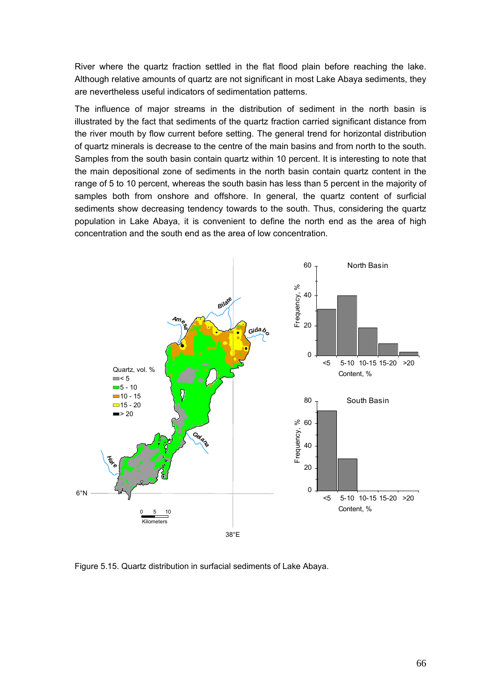River where the quartz fraction settled in the flat flood plain before reaching the lake. Although relative amounts of quartz are not significant in most Lake Abaya sediments, they are nevertheless useful indicators of sedimentation patterns.

The influence of major streams in the distribution of sediment in the north basin is illustrated by the fact that sediments of the quartz fraction carried significant distance from the river mouth by flow current before setting. The general trend for horizontal distribution of quartz minerals is decrease to the centre of the main basins and from north to the south. Samples from the south basin contain quartz within 10 percent. It is interesting to note that the main depositional zone of sediments in the north basin contain quartz content in the range of 5 to 10 percent, whereas the south basin has less than 5 percent in the majority of samples both from onshore and offshore. In general, the quartz content of surficial sediments show decreasing tendency towards to the south. Thus, considering the quartz population in Lake Abaya, it is convenient to define the north end as the area of high concentration and the south end as the area of low concentration.



Figure 5.15. Quartz distribution in surfacial sediments of Lake Abaya.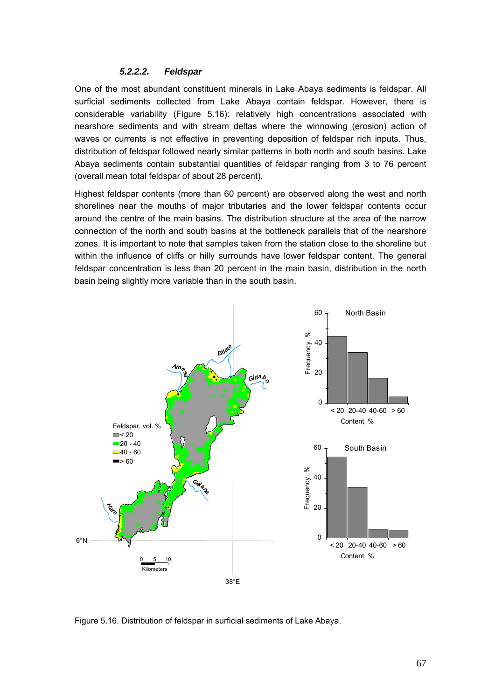#### *5.2.2.2. Feldspar*

One of the most abundant constituent minerals in Lake Abaya sediments is feldspar. All surficial sediments collected from Lake Abaya contain feldspar. However, there is considerable variability (Figure 5.16): relatively high concentrations associated with nearshore sediments and with stream deltas where the winnowing (erosion) action of waves or currents is not effective in preventing deposition of feldspar rich inputs. Thus, distribution of feldspar followed nearly similar patterns in both north and south basins. Lake Abaya sediments contain substantial quantities of feldspar ranging from 3 to 76 percent (overall mean total feldspar of about 28 percent).

Highest feldspar contents (more than 60 percent) are observed along the west and north shorelines near the mouths of major tributaries and the lower feldspar contents occur around the centre of the main basins. The distribution structure at the area of the narrow connection of the north and south basins at the bottleneck parallels that of the nearshore zones. It is important to note that samples taken from the station close to the shoreline but within the influence of cliffs or hilly surrounds have lower feldspar content. The general feldspar concentration is less than 20 percent in the main basin, distribution in the north basin being slightly more variable than in the south basin.



Figure 5.16. Distribution of feldspar in surficial sediments of Lake Abaya.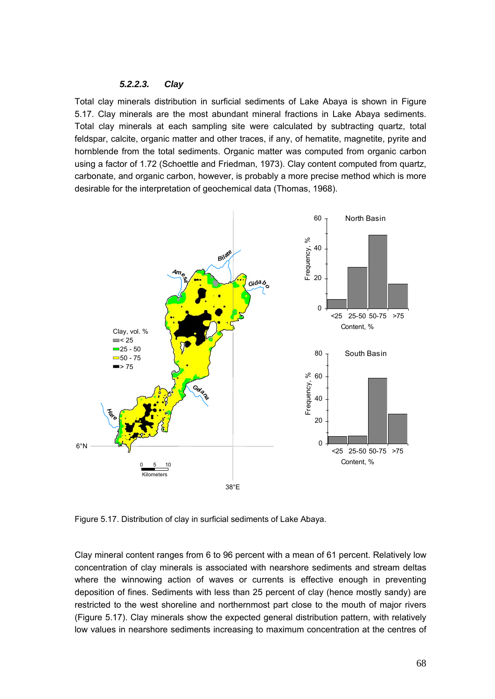#### *5.2.2.3. Clay*

Total clay minerals distribution in surficial sediments of Lake Abaya is shown in Figure 5.17. Clay minerals are the most abundant mineral fractions in Lake Abaya sediments. Total clay minerals at each sampling site were calculated by subtracting quartz, total feldspar, calcite, organic matter and other traces, if any, of hematite, magnetite, pyrite and hornblende from the total sediments. Organic matter was computed from organic carbon using a factor of 1.72 (Schoettle and Friedman, 1973). Clay content computed from quartz, carbonate, and organic carbon, however, is probably a more precise method which is more desirable for the interpretation of geochemical data (Thomas, 1968).



Figure 5.17. Distribution of clay in surficial sediments of Lake Abaya.

Clay mineral content ranges from 6 to 96 percent with a mean of 61 percent. Relatively low concentration of clay minerals is associated with nearshore sediments and stream deltas where the winnowing action of waves or currents is effective enough in preventing deposition of fines. Sediments with less than 25 percent of clay (hence mostly sandy) are restricted to the west shoreline and northernmost part close to the mouth of major rivers (Figure 5.17). Clay minerals show the expected general distribution pattern, with relatively low values in nearshore sediments increasing to maximum concentration at the centres of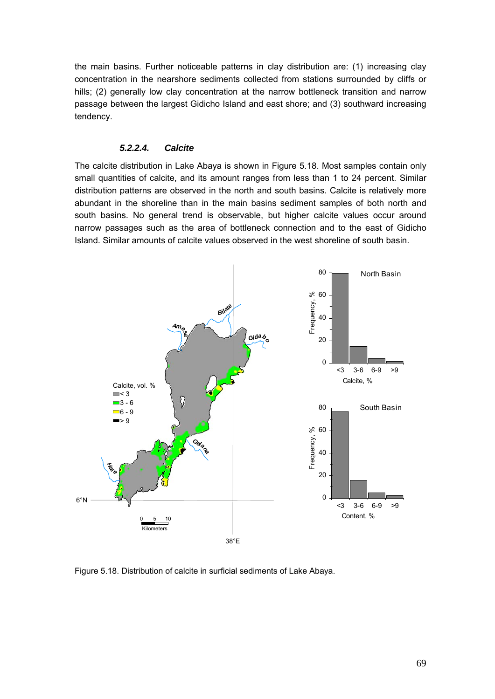the main basins. Further noticeable patterns in clay distribution are: (1) increasing clay concentration in the nearshore sediments collected from stations surrounded by cliffs or hills; (2) generally low clay concentration at the narrow bottleneck transition and narrow passage between the largest Gidicho Island and east shore; and (3) southward increasing tendency.

#### *5.2.2.4. Calcite*

The calcite distribution in Lake Abaya is shown in Figure 5.18. Most samples contain only small quantities of calcite, and its amount ranges from less than 1 to 24 percent. Similar distribution patterns are observed in the north and south basins. Calcite is relatively more abundant in the shoreline than in the main basins sediment samples of both north and south basins. No general trend is observable, but higher calcite values occur around narrow passages such as the area of bottleneck connection and to the east of Gidicho Island. Similar amounts of calcite values observed in the west shoreline of south basin.



Figure 5.18. Distribution of calcite in surficial sediments of Lake Abaya.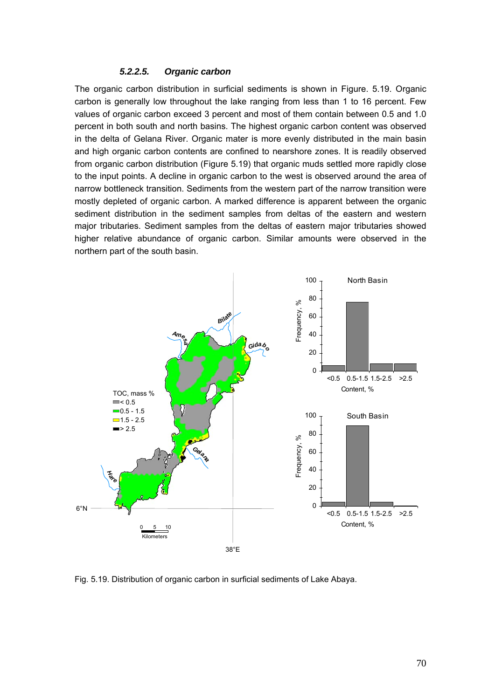#### *5.2.2.5. Organic carbon*

The organic carbon distribution in surficial sediments is shown in Figure. 5.19. Organic carbon is generally low throughout the lake ranging from less than 1 to 16 percent. Few values of organic carbon exceed 3 percent and most of them contain between 0.5 and 1.0 percent in both south and north basins. The highest organic carbon content was observed in the delta of Gelana River. Organic mater is more evenly distributed in the main basin and high organic carbon contents are confined to nearshore zones. It is readily observed from organic carbon distribution (Figure 5.19) that organic muds settled more rapidly close to the input points. A decline in organic carbon to the west is observed around the area of narrow bottleneck transition. Sediments from the western part of the narrow transition were mostly depleted of organic carbon. A marked difference is apparent between the organic sediment distribution in the sediment samples from deltas of the eastern and western major tributaries. Sediment samples from the deltas of eastern major tributaries showed higher relative abundance of organic carbon. Similar amounts were observed in the northern part of the south basin.



Fig. 5.19. Distribution of organic carbon in surficial sediments of Lake Abaya.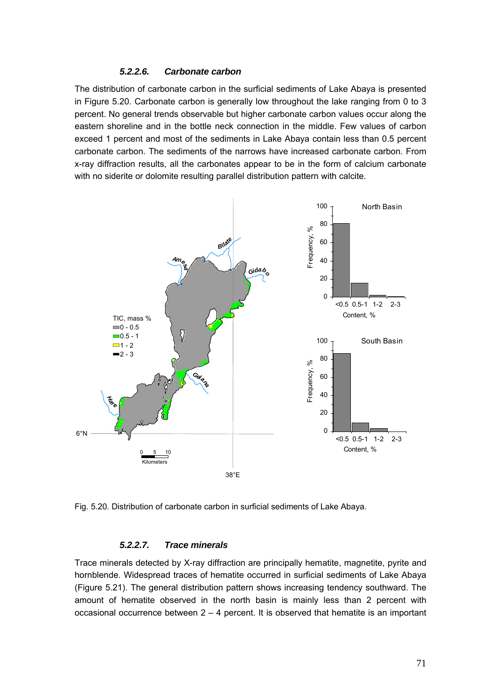#### *5.2.2.6. Carbonate carbon*

The distribution of carbonate carbon in the surficial sediments of Lake Abaya is presented in Figure 5.20. Carbonate carbon is generally low throughout the lake ranging from 0 to 3 percent. No general trends observable but higher carbonate carbon values occur along the eastern shoreline and in the bottle neck connection in the middle. Few values of carbon exceed 1 percent and most of the sediments in Lake Abaya contain less than 0.5 percent carbonate carbon. The sediments of the narrows have increased carbonate carbon. From x-ray diffraction results, all the carbonates appear to be in the form of calcium carbonate with no siderite or dolomite resulting parallel distribution pattern with calcite.



Fig. 5.20. Distribution of carbonate carbon in surficial sediments of Lake Abaya.

#### *5.2.2.7. Trace minerals*

Trace minerals detected by X-ray diffraction are principally hematite, magnetite, pyrite and hornblende. Widespread traces of hematite occurred in surficial sediments of Lake Abaya (Figure 5.21). The general distribution pattern shows increasing tendency southward. The amount of hematite observed in the north basin is mainly less than 2 percent with occasional occurrence between 2 – 4 percent. It is observed that hematite is an important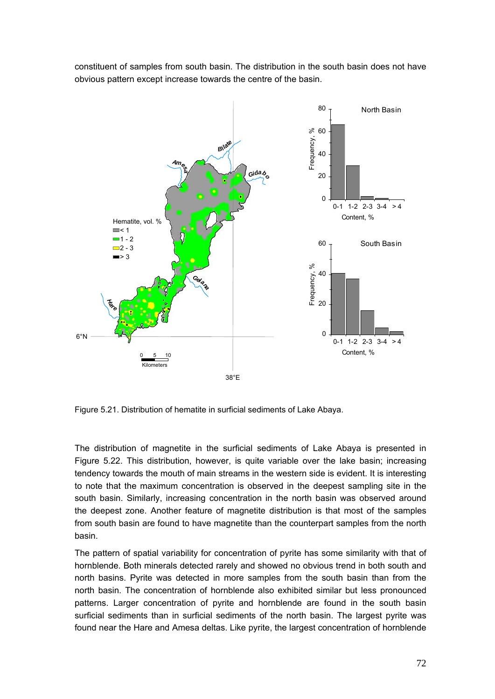![](_page_30_Figure_0.jpeg)

constituent of samples from south basin. The distribution in the south basin does not have obvious pattern except increase towards the centre of the basin.

Figure 5.21. Distribution of hematite in surficial sediments of Lake Abaya.

The distribution of magnetite in the surficial sediments of Lake Abaya is presented in Figure 5.22. This distribution, however, is quite variable over the lake basin; increasing tendency towards the mouth of main streams in the western side is evident. It is interesting to note that the maximum concentration is observed in the deepest sampling site in the south basin. Similarly, increasing concentration in the north basin was observed around the deepest zone. Another feature of magnetite distribution is that most of the samples from south basin are found to have magnetite than the counterpart samples from the north basin.

The pattern of spatial variability for concentration of pyrite has some similarity with that of hornblende. Both minerals detected rarely and showed no obvious trend in both south and north basins. Pyrite was detected in more samples from the south basin than from the north basin. The concentration of hornblende also exhibited similar but less pronounced patterns. Larger concentration of pyrite and hornblende are found in the south basin surficial sediments than in surficial sediments of the north basin. The largest pyrite was found near the Hare and Amesa deltas. Like pyrite, the largest concentration of hornblende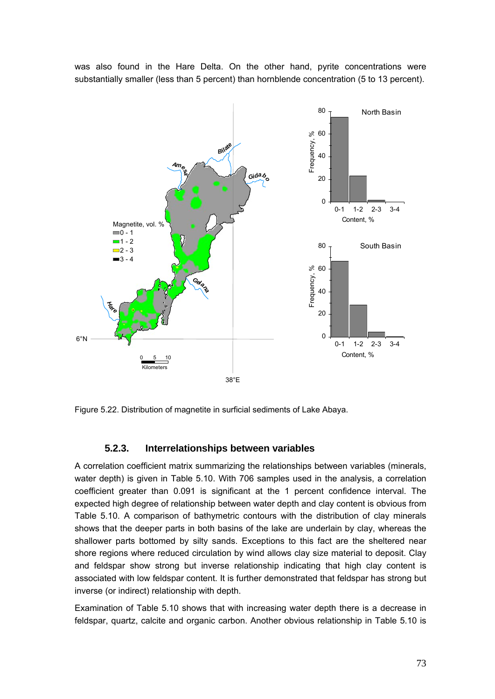was also found in the Hare Delta. On the other hand, pyrite concentrations were substantially smaller (less than 5 percent) than hornblende concentration (5 to 13 percent).

![](_page_31_Figure_1.jpeg)

Figure 5.22. Distribution of magnetite in surficial sediments of Lake Abaya.

### **5.2.3. Interrelationships between variables**

A correlation coefficient matrix summarizing the relationships between variables (minerals, water depth) is given in Table 5.10. With 706 samples used in the analysis, a correlation coefficient greater than 0.091 is significant at the 1 percent confidence interval. The expected high degree of relationship between water depth and clay content is obvious from Table 5.10. A comparison of bathymetric contours with the distribution of clay minerals shows that the deeper parts in both basins of the lake are underlain by clay, whereas the shallower parts bottomed by silty sands. Exceptions to this fact are the sheltered near shore regions where reduced circulation by wind allows clay size material to deposit. Clay and feldspar show strong but inverse relationship indicating that high clay content is associated with low feldspar content. It is further demonstrated that feldspar has strong but inverse (or indirect) relationship with depth.

Examination of Table 5.10 shows that with increasing water depth there is a decrease in feldspar, quartz, calcite and organic carbon. Another obvious relationship in Table 5.10 is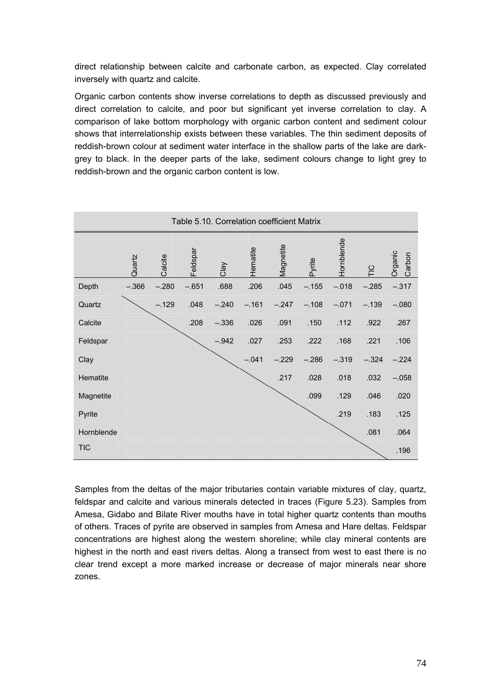direct relationship between calcite and carbonate carbon, as expected. Clay correlated inversely with quartz and calcite.

Organic carbon contents show inverse correlations to depth as discussed previously and direct correlation to calcite, and poor but significant yet inverse correlation to clay. A comparison of lake bottom morphology with organic carbon content and sediment colour shows that interrelationship exists between these variables. The thin sediment deposits of reddish-brown colour at sediment water interface in the shallow parts of the lake are darkgrey to black. In the deeper parts of the lake, sediment colours change to light grey to reddish-brown and the organic carbon content is low.

| Table 5.10. Correlation coefficient Matrix |         |         |          |         |          |           |         |                   |               |                   |  |  |  |
|--------------------------------------------|---------|---------|----------|---------|----------|-----------|---------|-------------------|---------------|-------------------|--|--|--|
|                                            | Quartz  | Calcite | Feldspar | Clay    | Hematite | Magnetite | Pyrite  | <b>dornblende</b> | $\frac{C}{1}$ | Organic<br>Carbon |  |  |  |
| Depth                                      | $-.366$ | $-.280$ | $-.651$  | .688    | .206     | .045      | $-.155$ | $-.018$           | $-.285$       | $-.317$           |  |  |  |
| Quartz                                     |         | $-.129$ | .048     | $-.240$ | $-.161$  | $-.247$   | $-.108$ | $-.071$           | $-.139$       | $-.080$           |  |  |  |
| Calcite                                    |         |         | .208     | $-.336$ | .026     | .091      | .150    | .112              | .922          | .267              |  |  |  |
| Feldspar                                   |         |         |          | $-.942$ | .027     | .253      | .222    | .168              | .221          | .106              |  |  |  |
| Clay                                       |         |         |          |         | $-.041$  | $-.229$   | $-.286$ | $-.319$           | $-.324$       | $-.224$           |  |  |  |
| Hematite                                   |         |         |          |         |          | .217      | .028    | .018              | .032          | $-.058$           |  |  |  |
| Magnetite                                  |         |         |          |         |          |           | .099    | .129              | .046          | .020              |  |  |  |
| Pyrite                                     |         |         |          |         |          |           |         | .219              | .183          | .125              |  |  |  |
| Hornblende                                 |         |         |          |         |          |           |         |                   | .081          | .064              |  |  |  |
| <b>TIC</b>                                 |         |         |          |         |          |           |         |                   |               | .196              |  |  |  |

Samples from the deltas of the major tributaries contain variable mixtures of clay, quartz, feldspar and calcite and various minerals detected in traces (Figure 5.23). Samples from Amesa, Gidabo and Bilate River mouths have in total higher quartz contents than mouths of others. Traces of pyrite are observed in samples from Amesa and Hare deltas. Feldspar concentrations are highest along the western shoreline; while clay mineral contents are highest in the north and east rivers deltas. Along a transect from west to east there is no clear trend except a more marked increase or decrease of major minerals near shore zones.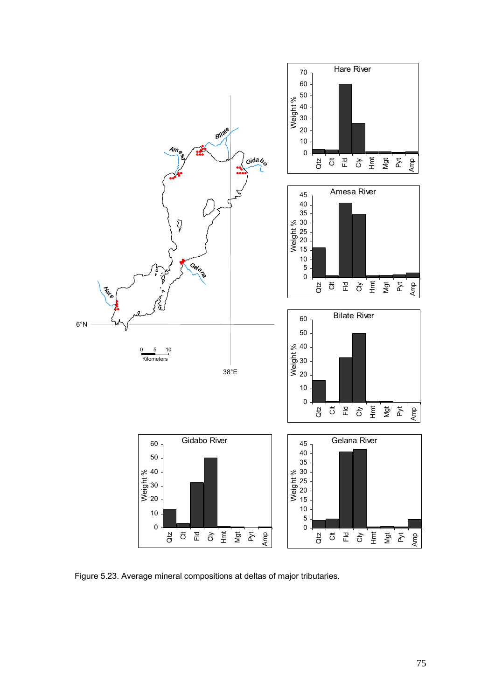![](_page_33_Figure_0.jpeg)

Figure 5.23. Average mineral compositions at deltas of major tributaries.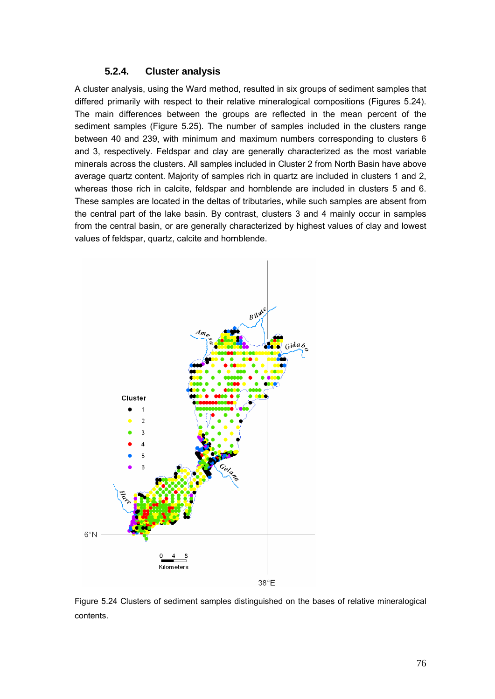## **5.2.4. Cluster analysis**

A cluster analysis, using the Ward method, resulted in six groups of sediment samples that differed primarily with respect to their relative mineralogical compositions (Figures 5.24). The main differences between the groups are reflected in the mean percent of the sediment samples (Figure 5.25). The number of samples included in the clusters range between 40 and 239, with minimum and maximum numbers corresponding to clusters 6 and 3, respectively. Feldspar and clay are generally characterized as the most variable minerals across the clusters. All samples included in Cluster 2 from North Basin have above average quartz content. Majority of samples rich in quartz are included in clusters 1 and 2, whereas those rich in calcite, feldspar and hornblende are included in clusters 5 and 6. These samples are located in the deltas of tributaries, while such samples are absent from the central part of the lake basin. By contrast, clusters 3 and 4 mainly occur in samples from the central basin, or are generally characterized by highest values of clay and lowest values of feldspar, quartz, calcite and hornblende.

![](_page_34_Figure_2.jpeg)

Figure 5.24 Clusters of sediment samples distinguished on the bases of relative mineralogical contents.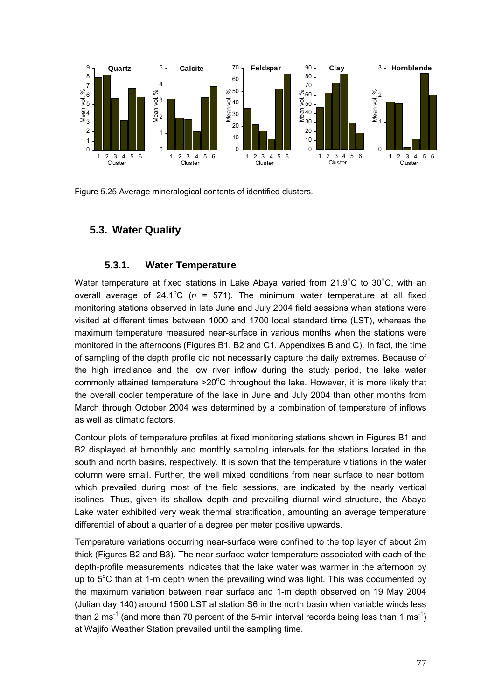![](_page_35_Figure_0.jpeg)

Figure 5.25 Average mineralogical contents of identified clusters.

# **5.3. Water Quality**

## **5.3.1. Water Temperature**

Water temperature at fixed stations in Lake Abaya varied from  $21.9^{\circ}$ C to  $30^{\circ}$ C, with an overall average of  $24.1^{\circ}C$  ( $n = 571$ ). The minimum water temperature at all fixed monitoring stations observed in late June and July 2004 field sessions when stations were visited at different times between 1000 and 1700 local standard time (LST), whereas the maximum temperature measured near-surface in various months when the stations were monitored in the afternoons (Figures B1, B2 and C1, Appendixes B and C). In fact, the time of sampling of the depth profile did not necessarily capture the daily extremes. Because of the high irradiance and the low river inflow during the study period, the lake water commonly attained temperature  $>20^{\circ}$ C throughout the lake. However, it is more likely that the overall cooler temperature of the lake in June and July 2004 than other months from March through October 2004 was determined by a combination of temperature of inflows as well as climatic factors.

Contour plots of temperature profiles at fixed monitoring stations shown in Figures B1 and B2 displayed at bimonthly and monthly sampling intervals for the stations located in the south and north basins, respectively. It is sown that the temperature vitiations in the water column were small. Further, the well mixed conditions from near surface to near bottom, which prevailed during most of the field sessions, are indicated by the nearly vertical isolines. Thus, given its shallow depth and prevailing diurnal wind structure, the Abaya Lake water exhibited very weak thermal stratification, amounting an average temperature differential of about a quarter of a degree per meter positive upwards.

Temperature variations occurring near-surface were confined to the top layer of about 2m thick (Figures B2 and B3). The near-surface water temperature associated with each of the depth-profile measurements indicates that the lake water was warmer in the afternoon by up to  $5^{\circ}$ C than at 1-m depth when the prevailing wind was light. This was documented by the maximum variation between near surface and 1-m depth observed on 19 May 2004 (Julian day 140) around 1500 LST at station S6 in the north basin when variable winds less than 2 ms<sup>-1</sup> (and more than 70 percent of the 5-min interval records being less than 1 ms<sup>-1</sup>) at Wajifo Weather Station prevailed until the sampling time.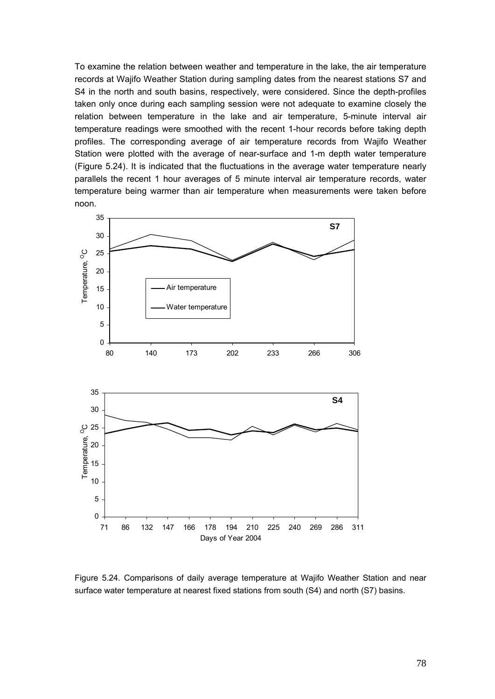To examine the relation between weather and temperature in the lake, the air temperature records at Wajifo Weather Station during sampling dates from the nearest stations S7 and S4 in the north and south basins, respectively, were considered. Since the depth-profiles taken only once during each sampling session were not adequate to examine closely the relation between temperature in the lake and air temperature, 5-minute interval air temperature readings were smoothed with the recent 1-hour records before taking depth profiles. The corresponding average of air temperature records from Wajifo Weather Station were plotted with the average of near-surface and 1-m depth water temperature (Figure 5.24). It is indicated that the fluctuations in the average water temperature nearly parallels the recent 1 hour averages of 5 minute interval air temperature records, water temperature being warmer than air temperature when measurements were taken before noon.

![](_page_36_Figure_1.jpeg)

Figure 5.24. Comparisons of daily average temperature at Wajifo Weather Station and near surface water temperature at nearest fixed stations from south (S4) and north (S7) basins.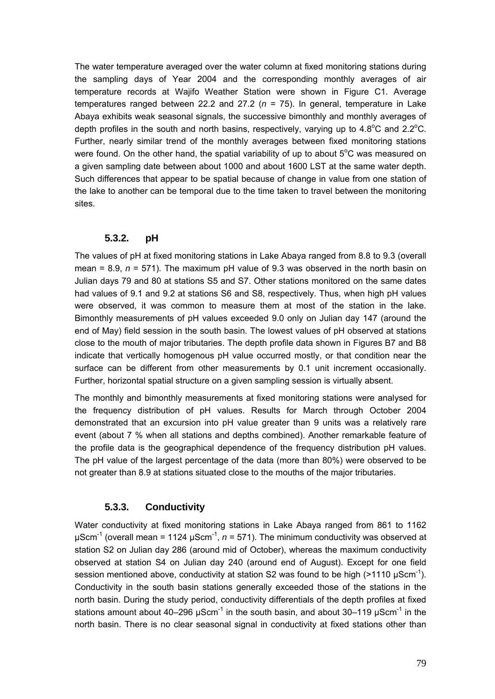The water temperature averaged over the water column at fixed monitoring stations during the sampling days of Year 2004 and the corresponding monthly averages of air temperature records at Wajifo Weather Station were shown in Figure C1. Average temperatures ranged between 22.2 and 27.2 (*n* = 75). In general, temperature in Lake Abaya exhibits weak seasonal signals, the successive bimonthly and monthly averages of depth profiles in the south and north basins, respectively, varying up to  $4.8^{\circ}$ C and  $2.2^{\circ}$ C. Further, nearly similar trend of the monthly averages between fixed monitoring stations were found. On the other hand, the spatial variability of up to about  $5^{\circ}$ C was measured on a given sampling date between about 1000 and about 1600 LST at the same water depth. Such differences that appear to be spatial because of change in value from one station of the lake to another can be temporal due to the time taken to travel between the monitoring sites.

### **5.3.2. pH**

The values of pH at fixed monitoring stations in Lake Abaya ranged from 8.8 to 9.3 (overall mean =  $8.9$ ,  $n = 571$ ). The maximum pH value of  $9.3$  was observed in the north basin on Julian days 79 and 80 at stations S5 and S7. Other stations monitored on the same dates had values of 9.1 and 9.2 at stations S6 and S8, respectively. Thus, when high pH values were observed, it was common to measure them at most of the station in the lake. Bimonthly measurements of pH values exceeded 9.0 only on Julian day 147 (around the end of May) field session in the south basin. The lowest values of pH observed at stations close to the mouth of major tributaries. The depth profile data shown in Figures B7 and B8 indicate that vertically homogenous pH value occurred mostly, or that condition near the surface can be different from other measurements by 0.1 unit increment occasionally. Further, horizontal spatial structure on a given sampling session is virtually absent.

The monthly and bimonthly measurements at fixed monitoring stations were analysed for the frequency distribution of pH values. Results for March through October 2004 demonstrated that an excursion into pH value greater than 9 units was a relatively rare event (about 7 % when all stations and depths combined). Another remarkable feature of the profile data is the geographical dependence of the frequency distribution pH values. The pH value of the largest percentage of the data (more than 80%) were observed to be not greater than 8.9 at stations situated close to the mouths of the major tributaries.

### **5.3.3. Conductivity**

Water conductivity at fixed monitoring stations in Lake Abaya ranged from 861 to 1162 μScm<sup>-1</sup> (overall mean = 1124 μScm<sup>-1</sup>,  $n = 571$ ). The minimum conductivity was observed at station S2 on Julian day 286 (around mid of October), whereas the maximum conductivity observed at station S4 on Julian day 240 (around end of August). Except for one field session mentioned above, conductivity at station S2 was found to be high  $(>1110 \text{ uScm}^{-1})$ . Conductivity in the south basin stations generally exceeded those of the stations in the north basin. During the study period, conductivity differentials of the depth profiles at fixed stations amount about 40–296  $\mu$ Scm<sup>-1</sup> in the south basin, and about 30–119  $\mu$ Scm<sup>-1</sup> in the north basin. There is no clear seasonal signal in conductivity at fixed stations other than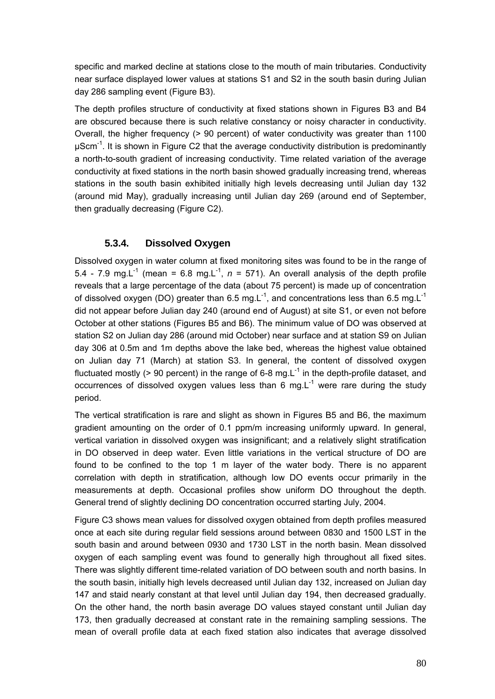specific and marked decline at stations close to the mouth of main tributaries. Conductivity near surface displayed lower values at stations S1 and S2 in the south basin during Julian day 286 sampling event (Figure B3).

The depth profiles structure of conductivity at fixed stations shown in Figures B3 and B4 are obscured because there is such relative constancy or noisy character in conductivity. Overall, the higher frequency (> 90 percent) of water conductivity was greater than 1100  $\mu$ Scm<sup>-1</sup>. It is shown in Figure C2 that the average conductivity distribution is predominantly a north-to-south gradient of increasing conductivity. Time related variation of the average conductivity at fixed stations in the north basin showed gradually increasing trend, whereas stations in the south basin exhibited initially high levels decreasing until Julian day 132 (around mid May), gradually increasing until Julian day 269 (around end of September, then gradually decreasing (Figure C2).

# **5.3.4. Dissolved Oxygen**

Dissolved oxygen in water column at fixed monitoring sites was found to be in the range of 5.4 - 7.9 mg.L<sup>-1</sup> (mean = 6.8 mg.L<sup>-1</sup>,  $n = 571$ ). An overall analysis of the depth profile reveals that a large percentage of the data (about 75 percent) is made up of concentration of dissolved oxygen (DO) greater than 6.5 mg.L<sup>-1</sup>, and concentrations less than 6.5 mg.L<sup>-1</sup> did not appear before Julian day 240 (around end of August) at site S1, or even not before October at other stations (Figures B5 and B6). The minimum value of DO was observed at station S2 on Julian day 286 (around mid October) near surface and at station S9 on Julian day 306 at 0.5m and 1m depths above the lake bed, whereas the highest value obtained on Julian day 71 (March) at station S3. In general, the content of dissolved oxygen fluctuated mostly ( $> 90$  percent) in the range of 6-8 mg. L<sup>-1</sup> in the depth-profile dataset, and occurrences of dissolved oxygen values less than 6 mg. $L^{-1}$  were rare during the study period.

The vertical stratification is rare and slight as shown in Figures B5 and B6, the maximum gradient amounting on the order of 0.1 ppm/m increasing uniformly upward. In general, vertical variation in dissolved oxygen was insignificant; and a relatively slight stratification in DO observed in deep water. Even little variations in the vertical structure of DO are found to be confined to the top 1 m layer of the water body. There is no apparent correlation with depth in stratification, although low DO events occur primarily in the measurements at depth. Occasional profiles show uniform DO throughout the depth. General trend of slightly declining DO concentration occurred starting July, 2004.

Figure C3 shows mean values for dissolved oxygen obtained from depth profiles measured once at each site during regular field sessions around between 0830 and 1500 LST in the south basin and around between 0930 and 1730 LST in the north basin. Mean dissolved oxygen of each sampling event was found to generally high throughout all fixed sites. There was slightly different time-related variation of DO between south and north basins. In the south basin, initially high levels decreased until Julian day 132, increased on Julian day 147 and staid nearly constant at that level until Julian day 194, then decreased gradually. On the other hand, the north basin average DO values stayed constant until Julian day 173, then gradually decreased at constant rate in the remaining sampling sessions. The mean of overall profile data at each fixed station also indicates that average dissolved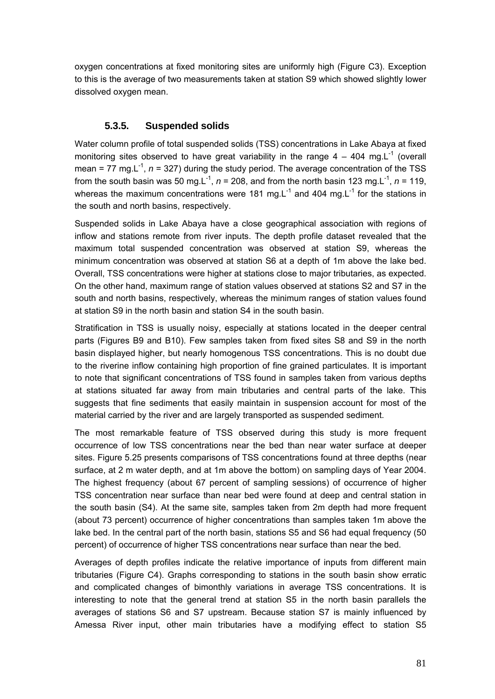oxygen concentrations at fixed monitoring sites are uniformly high (Figure C3). Exception to this is the average of two measurements taken at station S9 which showed slightly lower dissolved oxygen mean.

### **5.3.5. Suspended solids**

Water column profile of total suspended solids (TSS) concentrations in Lake Abaya at fixed monitoring sites observed to have great variability in the range  $4 - 404$  mg. L<sup>-1</sup> (overall mean = 77 mg. $L^{-1}$ ,  $n = 327$ ) during the study period. The average concentration of the TSS from the south basin was 50 mg.L<sup>-1</sup>,  $n = 208$ , and from the north basin 123 mg.L<sup>-1</sup>,  $n = 119$ , whereas the maximum concentrations were 181 mg. $L^{-1}$  and 404 mg. $L^{-1}$  for the stations in the south and north basins, respectively.

Suspended solids in Lake Abaya have a close geographical association with regions of inflow and stations remote from river inputs. The depth profile dataset revealed that the maximum total suspended concentration was observed at station S9, whereas the minimum concentration was observed at station S6 at a depth of 1m above the lake bed. Overall, TSS concentrations were higher at stations close to major tributaries, as expected. On the other hand, maximum range of station values observed at stations S2 and S7 in the south and north basins, respectively, whereas the minimum ranges of station values found at station S9 in the north basin and station S4 in the south basin.

Stratification in TSS is usually noisy, especially at stations located in the deeper central parts (Figures B9 and B10). Few samples taken from fixed sites S8 and S9 in the north basin displayed higher, but nearly homogenous TSS concentrations. This is no doubt due to the riverine inflow containing high proportion of fine grained particulates. It is important to note that significant concentrations of TSS found in samples taken from various depths at stations situated far away from main tributaries and central parts of the lake. This suggests that fine sediments that easily maintain in suspension account for most of the material carried by the river and are largely transported as suspended sediment.

The most remarkable feature of TSS observed during this study is more frequent occurrence of low TSS concentrations near the bed than near water surface at deeper sites. Figure 5.25 presents comparisons of TSS concentrations found at three depths (near surface, at 2 m water depth, and at 1m above the bottom) on sampling days of Year 2004. The highest frequency (about 67 percent of sampling sessions) of occurrence of higher TSS concentration near surface than near bed were found at deep and central station in the south basin (S4). At the same site, samples taken from 2m depth had more frequent (about 73 percent) occurrence of higher concentrations than samples taken 1m above the lake bed. In the central part of the north basin, stations S5 and S6 had equal frequency (50 percent) of occurrence of higher TSS concentrations near surface than near the bed.

Averages of depth profiles indicate the relative importance of inputs from different main tributaries (Figure C4). Graphs corresponding to stations in the south basin show erratic and complicated changes of bimonthly variations in average TSS concentrations. It is interesting to note that the general trend at station S5 in the north basin parallels the averages of stations S6 and S7 upstream. Because station S7 is mainly influenced by Amessa River input, other main tributaries have a modifying effect to station S5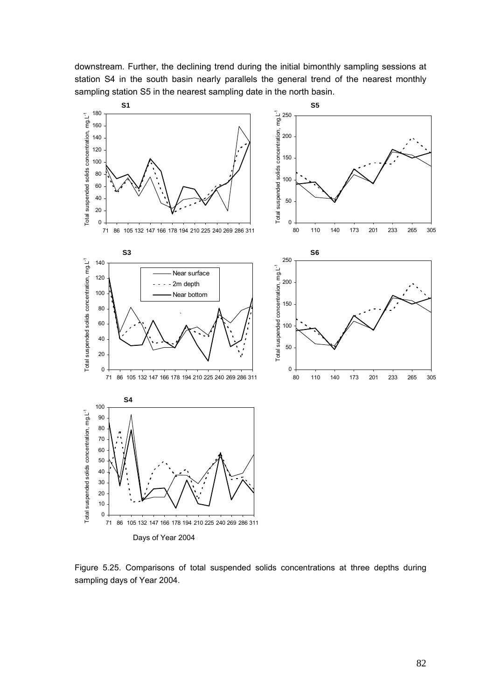downstream. Further, the declining trend during the initial bimonthly sampling sessions at station S4 in the south basin nearly parallels the general trend of the nearest monthly sampling station S5 in the nearest sampling date in the north basin.

![](_page_40_Figure_1.jpeg)

Figure 5.25. Comparisons of total suspended solids concentrations at three depths during sampling days of Year 2004.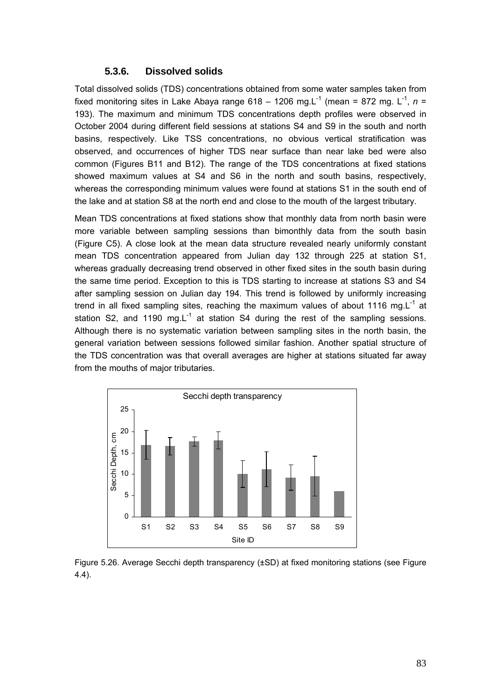## **5.3.6. Dissolved solids**

Total dissolved solids (TDS) concentrations obtained from some water samples taken from fixed monitoring sites in Lake Abaya range 618 – 1206 mg. L<sup>-1</sup> (mean = 872 mg. L<sup>-1</sup>,  $n =$ 193). The maximum and minimum TDS concentrations depth profiles were observed in October 2004 during different field sessions at stations S4 and S9 in the south and north basins, respectively. Like TSS concentrations, no obvious vertical stratification was observed, and occurrences of higher TDS near surface than near lake bed were also common (Figures B11 and B12). The range of the TDS concentrations at fixed stations showed maximum values at S4 and S6 in the north and south basins, respectively, whereas the corresponding minimum values were found at stations S1 in the south end of the lake and at station S8 at the north end and close to the mouth of the largest tributary.

Mean TDS concentrations at fixed stations show that monthly data from north basin were more variable between sampling sessions than bimonthly data from the south basin (Figure C5). A close look at the mean data structure revealed nearly uniformly constant mean TDS concentration appeared from Julian day 132 through 225 at station S1, whereas gradually decreasing trend observed in other fixed sites in the south basin during the same time period. Exception to this is TDS starting to increase at stations S3 and S4 after sampling session on Julian day 194. This trend is followed by uniformly increasing trend in all fixed sampling sites, reaching the maximum values of about 1116 mg. $L^{-1}$  at station S2, and 1190 mg. $L^{-1}$  at station S4 during the rest of the sampling sessions. Although there is no systematic variation between sampling sites in the north basin, the general variation between sessions followed similar fashion. Another spatial structure of the TDS concentration was that overall averages are higher at stations situated far away from the mouths of major tributaries.

![](_page_41_Figure_3.jpeg)

Figure 5.26. Average Secchi depth transparency (±SD) at fixed monitoring stations (see Figure 4.4).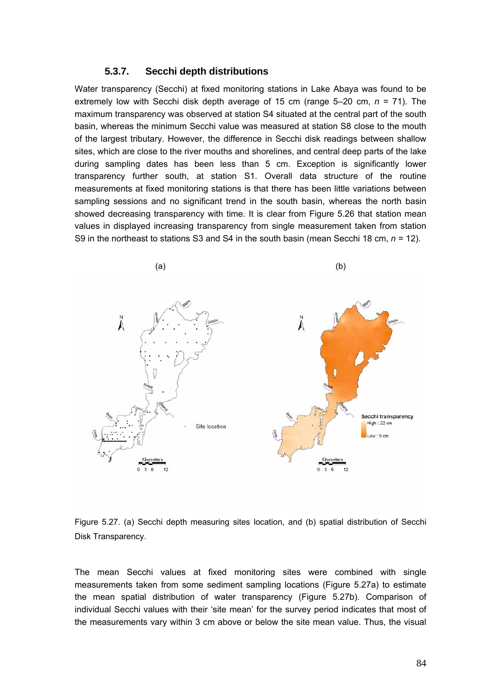#### **5.3.7. Secchi depth distributions**

Water transparency (Secchi) at fixed monitoring stations in Lake Abaya was found to be extremely low with Secchi disk depth average of 15 cm (range 5–20 cm, *n* = 71). The maximum transparency was observed at station S4 situated at the central part of the south basin, whereas the minimum Secchi value was measured at station S8 close to the mouth of the largest tributary. However, the difference in Secchi disk readings between shallow sites, which are close to the river mouths and shorelines, and central deep parts of the lake during sampling dates has been less than 5 cm. Exception is significantly lower transparency further south, at station S1. Overall data structure of the routine measurements at fixed monitoring stations is that there has been little variations between sampling sessions and no significant trend in the south basin, whereas the north basin showed decreasing transparency with time. It is clear from Figure 5.26 that station mean values in displayed increasing transparency from single measurement taken from station S9 in the northeast to stations S3 and S4 in the south basin (mean Secchi 18 cm, *n* = 12).

![](_page_42_Figure_2.jpeg)

Figure 5.27. (a) Secchi depth measuring sites location, and (b) spatial distribution of Secchi Disk Transparency.

The mean Secchi values at fixed monitoring sites were combined with single measurements taken from some sediment sampling locations (Figure 5.27a) to estimate the mean spatial distribution of water transparency (Figure 5.27b). Comparison of individual Secchi values with their 'site mean' for the survey period indicates that most of the measurements vary within 3 cm above or below the site mean value. Thus, the visual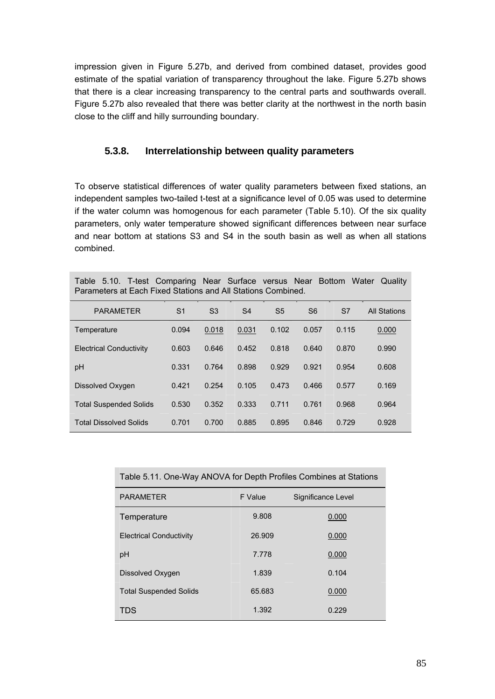impression given in Figure 5.27b, and derived from combined dataset, provides good estimate of the spatial variation of transparency throughout the lake. Figure 5.27b shows that there is a clear increasing transparency to the central parts and southwards overall. Figure 5.27b also revealed that there was better clarity at the northwest in the north basin close to the cliff and hilly surrounding boundary.

# **5.3.8. Interrelationship between quality parameters**

To observe statistical differences of water quality parameters between fixed stations, an independent samples two-tailed t-test at a significance level of 0.05 was used to determine if the water column was homogenous for each parameter (Table 5.10). Of the six quality parameters, only water temperature showed significant differences between near surface and near bottom at stations S3 and S4 in the south basin as well as when all stations combined.

|  | Table 5.10. T-test Comparing Near Surface versus Near Bottom Water Quality |  |  |  |  |
|--|----------------------------------------------------------------------------|--|--|--|--|
|  | Parameters at Each Fixed Stations and All Stations Combined.               |  |  |  |  |

| <b>PARAMETER</b>               | S <sub>1</sub> | S <sub>3</sub> | S <sub>4</sub> | S <sub>5</sub> | S <sub>6</sub> | S7    | <b>All Stations</b> |
|--------------------------------|----------------|----------------|----------------|----------------|----------------|-------|---------------------|
| Temperature                    | 0.094          | 0.018          | 0.031          | 0.102          | 0.057          | 0.115 | 0.000               |
| <b>Electrical Conductivity</b> | 0.603          | 0.646          | 0.452          | 0.818          | 0.640          | 0.870 | 0.990               |
| pH                             | 0.331          | 0.764          | 0.898          | 0.929          | 0.921          | 0.954 | 0.608               |
| Dissolved Oxygen               | 0.421          | 0.254          | 0.105          | 0.473          | 0.466          | 0.577 | 0.169               |
| <b>Total Suspended Solids</b>  | 0.530          | 0.352          | 0.333          | 0.711          | 0.761          | 0.968 | 0.964               |
| <b>Total Dissolved Solids</b>  | 0.701          | 0.700          | 0.885          | 0.895          | 0.846          | 0.729 | 0.928               |

| Table 5.11. One-Way ANOVA for Depth Profiles Combines at Stations |         |                    |  |  |  |
|-------------------------------------------------------------------|---------|--------------------|--|--|--|
| <b>PARAMETER</b>                                                  | F Value | Significance Level |  |  |  |
| Temperature                                                       | 9.808   | 0.000              |  |  |  |
| <b>Electrical Conductivity</b>                                    | 26.909  | 0.000              |  |  |  |
| pH                                                                | 7.778   | 0.000              |  |  |  |
| Dissolved Oxygen                                                  | 1.839   | 0.104              |  |  |  |
| <b>Total Suspended Solids</b>                                     | 65.683  | 0.000              |  |  |  |
| TDS                                                               | 1.392   | 0.229              |  |  |  |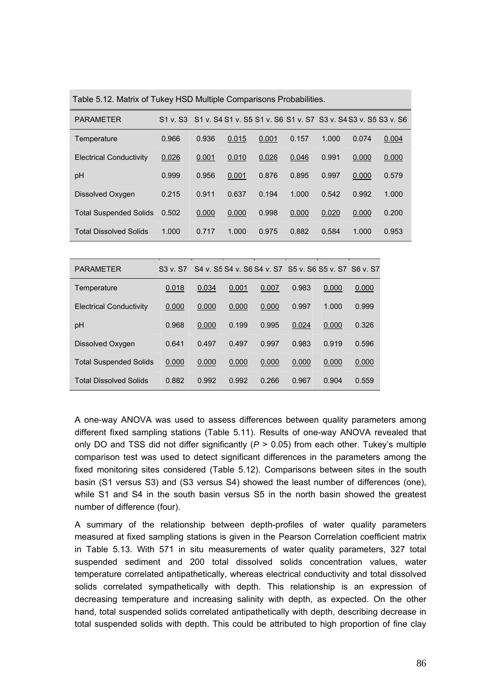| <b>PARAMETER</b>               | S1 v. S3 |       |       |       |       | S1 v. S4 S1 v. S5 S1 v. S6 S1 v. S7 S3 v. S4 S3 v. S5 S3 v. S6 |       |       |
|--------------------------------|----------|-------|-------|-------|-------|----------------------------------------------------------------|-------|-------|
| Temperature                    | 0.966    | 0.936 | 0.015 | 0.001 | 0.157 | 1.000                                                          | 0.074 | 0.004 |
| <b>Electrical Conductivity</b> | 0.026    | 0.001 | 0.010 | 0.026 | 0.046 | 0.991                                                          | 0.000 | 0.000 |
| pH                             | 0.999    | 0.956 | 0.001 | 0.876 | 0.895 | 0.997                                                          | 0.000 | 0.579 |
| Dissolved Oxygen               | 0.215    | 0.911 | 0.637 | 0.194 | 1.000 | 0.542                                                          | 0.992 | 1.000 |
| <b>Total Suspended Solids</b>  | 0.502    | 0.000 | 0.000 | 0.998 | 0.000 | 0.020                                                          | 0.000 | 0.200 |
| <b>Total Dissolved Solids</b>  | 1.000    | 0.717 | 1.000 | 0.975 | 0.882 | 0.584                                                          | 1.000 | 0.953 |
|                                |          |       |       |       |       |                                                                |       |       |
| <b>PARAMETER</b>               | S3 v. S7 |       |       |       |       | S4 v. S5 S4 v. S6 S4 v. S7 S5 v. S6 S5 v. S7 S6 v. S7          |       |       |
| Temperature                    | 0.018    | 0.034 | 0.001 | 0.007 | 0.983 | 0.000                                                          | 0.000 |       |
| <b>Electrical Conductivity</b> | 0.000    | 0.000 | 0.000 | 0.000 | 0.997 | 1.000                                                          | 0.999 |       |
| pH                             | 0.968    | 0.000 | 0.199 | 0.995 | 0.024 | 0.000                                                          | 0.326 |       |
| Dissolved Oxygen               | 0.641    | 0.497 | 0.497 | 0.997 | 0.983 | 0.919                                                          | 0.596 |       |
| <b>Total Suspended Solids</b>  | 0.000    | 0.000 | 0.000 | 0.000 | 0.000 | 0.000                                                          | 0.000 |       |
| <b>Total Dissolved Solids</b>  | 0.882    | 0.992 | 0.992 | 0.266 | 0.967 | 0.904                                                          | 0.559 |       |

Table 5.12. Matrix of Tukey HSD Multiple Comparisons Probabilities.

A one-way ANOVA was used to assess differences between quality parameters among different fixed sampling stations (Table 5.11). Results of one-way ANOVA revealed that only DO and TSS did not differ significantly  $(P > 0.05)$  from each other. Tukey's multiple comparison test was used to detect significant differences in the parameters among the fixed monitoring sites considered (Table 5.12). Comparisons between sites in the south basin (S1 versus S3) and (S3 versus S4) showed the least number of differences (one), while S1 and S4 in the south basin versus S5 in the north basin showed the greatest number of difference (four).

A summary of the relationship between depth-profiles of water quality parameters measured at fixed sampling stations is given in the Pearson Correlation coefficient matrix in Table 5.13. With 571 in situ measurements of water quality parameters, 327 total suspended sediment and 200 total dissolved solids concentration values, water temperature correlated antipathetically, whereas electrical conductivity and total dissolved solids correlated sympathetically with depth. This relationship is an expression of decreasing temperature and increasing salinity with depth, as expected. On the other hand, total suspended solids correlated antipathetically with depth, describing decrease in total suspended solids with depth. This could be attributed to high proportion of fine clay